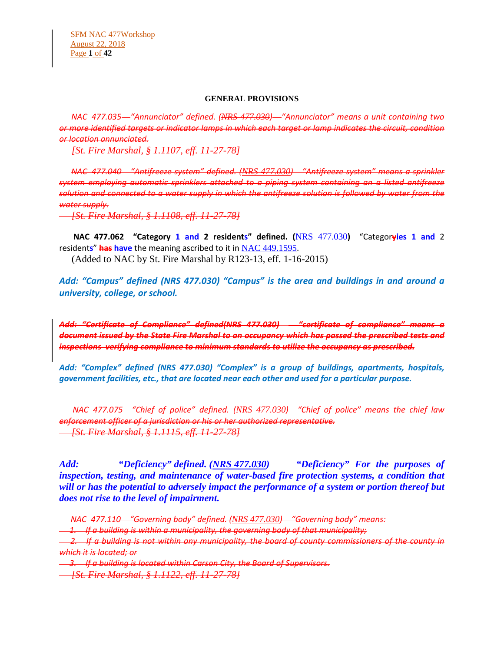#### **GENERAL PROVISIONS**

 *NAC 477.035 "Annunciator" defined. ([NRS 477.030](https://www.leg.state.nv.us/NRS/NRS-477.html#NRS477Sec030)) "Annunciator" means a unit containing two or more identified targets or indicator lamps in which each target or lamp indicates the circuit, condition or location annunciated.*

 *[St. Fire Marshal, § 1.1107, eff. 11-27-78]*

 *NAC 477.040 "Antifreeze system" defined. ([NRS 477.030](https://www.leg.state.nv.us/NRS/NRS-477.html#NRS477Sec030)) "Antifreeze system" means a sprinkler system employing automatic sprinklers attached to a piping system containing an a listed antifreeze solution and connected to a water supply in which the antifreeze solution is followed by water from the water supply.*

 *[St. Fire Marshal, § 1.1108, eff. 11-27-78]*

 **NAC 477.062 "Category 1 and 2 residents" defined. (**[NRS 477.030](https://www.leg.state.nv.us/NRS/NRS-477.html#NRS477Sec030)**)** "Categor**yies 1 and** 2 resident**s**" **has have** the meaning ascribed to it in [NAC 449.1595](https://www.leg.state.nv.us/NAC/NAC-449.html#NAC449Sec1595).

(Added to NAC by St. Fire Marshal by R123-13, eff. 1-16-2015)

*Add: "Campus" defined (NRS 477.030) "Campus" is the area and buildings in and around a university, college, or school.*

*Add: "Certificate of Compliance" defined(NRS 477.030) "certificate of compliance" means a document issued by the State Fire Marshal to an occupancy which has passed the prescribed tests and inspections verifying compliance to minimum standards to utilize the occupancy as prescribed.*

*Add: "Complex" defined (NRS 477.030) "Complex" is a group of buildings, apartments, hospitals, government facilities, etc., that are located near each other and used for a particular purpose.*

 *NAC 477.075 "Chief of police" defined. ([NRS 477.030](https://www.leg.state.nv.us/NRS/NRS-477.html#NRS477Sec030)) "Chief of police" means the chief law enforcement officer of a jurisdiction or his or her authorized representative. [St. Fire Marshal, § 1.1115, eff. 11-27-78]*

*Add: "Deficiency" defined. (NRS 477.030) "Deficiency" For the purposes of inspection, testing, and maintenance of water-based fire protection systems, a condition that will or has the potential to adversely impact the performance of a system or portion thereof but does not rise to the level of impairment.* 

*NAC 477.110 "Governing body" defined. ([NRS 477.030](https://www.leg.state.nv.us/NRS/NRS-477.html#NRS477Sec030)) "Governing body" means:*

 *1. If a building is within a municipality, the governing body of that municipality;*

 *2. If a building is not within any municipality, the board of county commissioners of the county in which it is located; or*

 *3. If a building is located within Carson City, the Board of Supervisors.*

 *[St. Fire Marshal, § 1.1122, eff. 11-27-78]*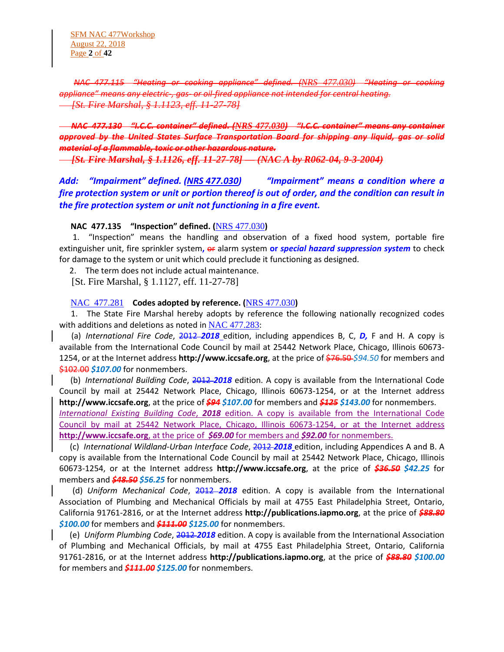SFM NAC 477Workshop August 22, 2018 Page **2** of **42**

 *NAC 477.115 "Heating or cooking appliance" defined. ([NRS 477.030](https://www.leg.state.nv.us/NRS/NRS-477.html#NRS477Sec030)) "Heating or cooking appliance" means any electric-, gas- or oil-fired appliance not intended for central heating. [St. Fire Marshal, § 1.1123, eff. 11-27-78]*

# *NAC 477.130 "I.C.C. container" defined. ([NRS 477.030](https://www.leg.state.nv.us/NRS/NRS-477.html#NRS477Sec030)) "I.C.C. container" means any container approved by the United States Surface Transportation Board for shipping any liquid, gas or solid material of a flammable, toxic or other hazardous nature.*

 *[St. Fire Marshal, § 1.1126, eff. 11-27-78] — (NAC A by R062-04, 9-3-2004)*

*Add: "Impairment" defined. (NRS 477.030) "Impairment" means a condition where a fire protection system or unit or portion thereof is out of order, and the condition can result in the fire protection system or unit not functioning in a fire event.*

#### **NAC 477.135 "Inspection" defined. (**[NRS 477.030](https://www.leg.state.nv.us/NRS/NRS-477.html#NRS477Sec030)**)**

 1. "Inspection" means the handling and observation of a fixed hood system, portable fire extinguisher unit, fire sprinkler system**,** or alarm system **or** *special hazard suppression system* to check for damage to the system or unit which could preclude it functioning as designed.

2. The term does not include actual maintenance.

[St. Fire Marshal, § 1.1127, eff. 11-27-78]

#### NAC [477.281](https://www.leg.state.nv.us/NAC/NAC-477.html#NAC477Sec281) **Codes adopted by reference. (**[NRS 477.030](https://www.leg.state.nv.us/NRS/NRS-477.html#NRS477Sec030)**)**

 1. The State Fire Marshal hereby adopts by reference the following nationally recognized codes with additions and deletions as noted in  $NAC$  477.283:

 (a) *International Fire Code*, 2012 *2018* edition, including appendices B, C, *D,* F and H. A copy is available from the International Code Council by mail at 25442 Network Place, Chicago, Illinois 60673- 1254, or at the Internet address **http://www.iccsafe.org**, at the price of \$76.50 *\$94.50* for members and \$102.00 \$107.00 for nonmembers.

 (b) *International Building Code*, 2012 *2018* edition. A copy is available from the International Code Council by mail at 25442 Network Place, Chicago, Illinois 60673-1254, or at the Internet address **http://www.iccsafe.org**, at the price of *\$94 \$107.00* for members and *\$125 \$143.00* for nonmembers.

*International Existing Building Code*, *2018* edition. A copy is available from the International Code Council by mail at 25442 Network Place, Chicago, Illinois 60673-1254, or at the Internet address **http://www.iccsafe.org**, at the price of *\$69.00* for members and *\$92.00* for nonmembers.

 (c) *International Wildland-Urban Interface Code*, 2012 *2018* edition, including Appendices A and B. A copy is available from the International Code Council by mail at 25442 Network Place, Chicago, Illinois 60673-1254, or at the Internet address **http://www.iccsafe.org**, at the price of *\$36.50 \$42.25* for members and *\$48.50 \$56.25* for nonmembers.

 (d) *Uniform Mechanical Code*, 2012 *2018* edition. A copy is available from the International Association of Plumbing and Mechanical Officials by mail at 4755 East Philadelphia Street, Ontario, California 91761-2816, or at the Internet address **http://publications.iapmo.org**, at the price of *\$88.80 \$100.00* for members and *\$111.00 \$125.00* for nonmembers.

 (e) *Uniform Plumbing Code*, 2012 *2018* edition. A copy is available from the International Association of Plumbing and Mechanical Officials, by mail at 4755 East Philadelphia Street, Ontario, California 91761-2816, or at the Internet address **http://publications.iapmo.org**, at the price of *\$88.80 \$100.00* for members and *\$111.00 \$125.00* for nonmembers.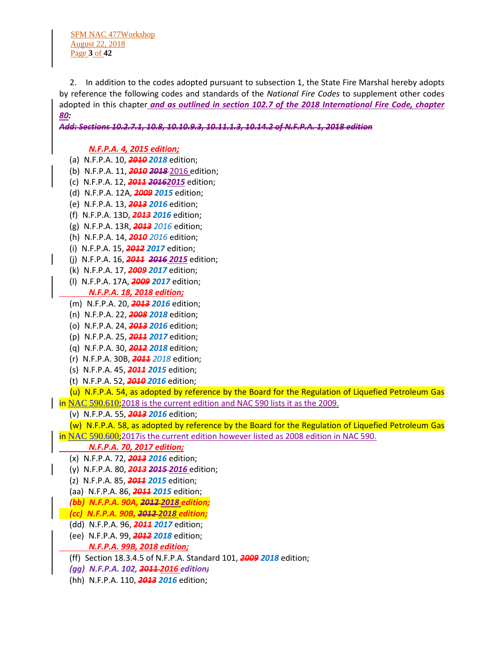SFM NAC 477Workshop August 22, 2018 Page **3** of **42**

 2. In addition to the codes adopted pursuant to subsection 1, the State Fire Marshal hereby adopts by reference the following codes and standards of the *National Fire Codes* to supplement other codes adopted in this chapter *and as outlined in section 102.7 of the 2018 International Fire Code, chapter 80:*

*Add: Sections 10.2.7.1, 10.8, 10.10.9.3, 10.11.1.3, 10.14.2 of N.F.P.A. 1, 2018 edition*

# *N.F.P.A. 4, 2015 edition;*

- (a) N.F.P.A. 10, *2010 2018* edition;
- (b) N.F.P.A. 11, *2010 2018* 2016 edition;
- (c) N.F.P.A. 12, *2011 20162015* edition;
- (d) N.F.P.A. 12A, *2009 2015* edition;
- (e) N.F.P.A. 13, *2013 2016* edition;
- (f) N.F.P.A. 13D, *2013 2016* edition;
- (g) N.F.P.A. 13R, *2013 2016* edition;
- (h) N.F.P.A. 14, *2010 2016* edition;
- (i) N.F.P.A. 15, *2012 2017* edition;
- (j) N.F.P.A. 16, *2011 2016 2015* edition;
- (k) N.F.P.A. 17, *2009 2017* edition;
- (l) N.F.P.A. 17A, *2009 2017* edition; *N.F.P.A. 18, 2018 edition;*
- (m) N.F.P.A. 20, *2013 2016* edition;
- (n) N.F.P.A. 22, *2008 2018* edition;
- (o) N.F.P.A. 24, *2013 2016* edition;
- (p) N.F.P.A. 25, *2011 2017* edition;
- (q) N.F.P.A. 30, *2012 2018* edition;
- (r) N.F.P.A. 30B, *2011 2018* edition;
- (s) N.F.P.A. 45, *2011 2015* edition;
- (t) N.F.P.A. 52, *2010 2016* edition;

 (u) N.F.P.A. 54, as adopted by reference by the Board for the Regulation of Liquefied Petroleum Gas in [NAC 590.610](https://www.leg.state.nv.us/NAC/NAC-590.html#NAC590Sec610);2018 is the current edition and NAC 590 lists it as the 2009.

(v) N.F.P.A. 55, *2013 2016* edition;

(w) N.F.P.A. 58, as adopted by reference by the Board for the Regulation of Liquefied Petroleum Gas

in [NAC 590.600](https://www.leg.state.nv.us/NAC/NAC-590.html#NAC590Sec600);2017is the current edition however listed as 2008 edition in NAC 590.

#### *N.F.P.A. 70, 2017 edition;*

- (x) N.F.P.A. 72, *2013 2016* edition;
- (y) N.F.P.A. 80, *2013 2015 2016* edition;
- (z) N.F.P.A. 85, *2011 2015* edition;
- (aa) N.F.P.A. 86, *2011 2015* edition;
- *(bb) N.F.P.A. 90A, 2012 2018 edition;*
- *(cc) N.F.P.A. 90B, 2012 2018 edition;*
- (dd) N.F.P.A. 96, *2011 2017* edition;
- (ee) N.F.P.A. 99, *2012 2018* edition;
	- *N.F.P.A. 99B, 2018 edition;*
- (ff) Section 18.3.4.5 of N.F.P.A. Standard 101, *2009 2018* edition;
- *(gg) N.F.P.A. 102, 2011 2016 edition;*
- (hh) N.F.P.A. 110, *2013 2016* edition;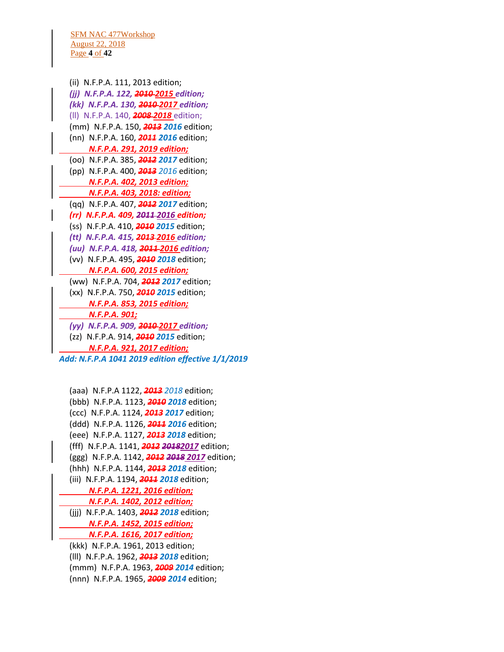SFM NAC 477Workshop August 22, 2018 Page **4** of **42**

 (ii) N.F.P.A. 111, 2013 edition;  *(jj) N.F.P.A. 122, 2010 2015 edition; (kk) N.F.P.A. 130, 2010 2017 edition;* (ll) N.F.P.A. 140, *2008 2018* edition; (mm) N.F.P.A. 150, *2013 2016* edition; (nn) N.F.P.A. 160, *2011 2016* edition; *N.F.P.A. 291, 2019 edition;* (oo) N.F.P.A. 385, *2012 2017* edition; (pp) N.F.P.A. 400, *2013 2016* edition; *N.F.P.A. 402, 2013 edition; N.F.P.A. 403, 2018: edition;* (qq) N.F.P.A. 407, *2012 2017* edition; *(rr) N.F.P.A. 409, 2011 2016 edition;* (ss) N.F.P.A. 410, *2010 2015* edition; *(tt) N.F.P.A. 415, 2013 2016 edition; (uu) N.F.P.A. 418, 2011 2016 edition;* (vv) N.F.P.A. 495, *2010 2018* edition; *N.F.P.A. 600, 2015 edition;* (ww) N.F.P.A. 704, *2012 2017* edition; (xx) N.F.P.A. 750, *2010 2015* edition; *N.F.P.A. 853, 2015 edition; N.F.P.A. 901; (yy) N.F.P.A. 909, 2010 2017 edition;* (zz) N.F.P.A. 914, *2010 2015* edition; *N.F.P.A. 921, 2017 edition; Add: N.F.P.A 1041 2019 edition effective 1/1/2019*

 (aaa) N.F.P.A 1122, *2013 2018* edition; (bbb) N.F.P.A. 1123, *2010 2018* edition; (ccc) N.F.P.A. 1124, *2013 2017* edition; (ddd) N.F.P.A. 1126, *2011 2016* edition; (eee) N.F.P.A. 1127, *2013 2018* edition; (fff) N.F.P.A. 1141, *2012 20182017* edition; (ggg) N.F.P.A. 1142, *2012 2018 2017* edition; (hhh) N.F.P.A. 1144, *2013 2018* edition; (iii) N.F.P.A. 1194, *2011 2018* edition; *N.F.P.A. 1221, 2016 edition; N.F.P.A. 1402, 2012 edition;* (jjj) N.F.P.A. 1403, *2012 2018* edition; *N.F.P.A. 1452, 2015 edition; N.F.P.A. 1616, 2017 edition;* (kkk) N.F.P.A. 1961, 2013 edition; (lll) N.F.P.A. 1962, *2013 2018* edition; (mmm) N.F.P.A. 1963, *2009 2014* edition; (nnn) N.F.P.A. 1965, *2009 2014* edition;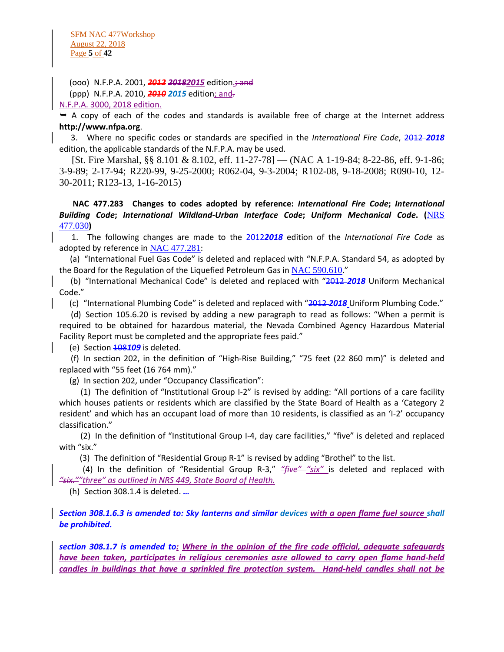SFM NAC 477Workshop August 22, 2018 Page **5** of **42**

(ooo) N.F.P.A. 2001, *2012 20182015* edition.; and

(ppp) N.F.P.A. 2010, *2010 2015* edition; and.

N.F.P.A. 3000, 2018 edition.

 $\rightarrow$  A copy of each of the codes and standards is available free of charge at the Internet address **http://www.nfpa.org**.

 3. Where no specific codes or standards are specified in the *International Fire Code*, 2012 *2018*  edition, the applicable standards of the N.F.P.A. may be used.

 [St. Fire Marshal, §§ 8.101 & 8.102, eff. 11-27-78] — (NAC A 1-19-84; 8-22-86, eff. 9-1-86; 3-9-89; 2-17-94; R220-99, 9-25-2000; R062-04, 9-3-2004; R102-08, 9-18-2008; R090-10, 12- 30-2011; R123-13, 1-16-2015)

 **NAC 477.283 Changes to codes adopted by reference:** *International Fire Code***;** *International Building Code***;** *International Wildland-Urban Interface Code***;** *Uniform Mechanical Code***. (**[NRS](https://www.leg.state.nv.us/NRS/NRS-477.html#NRS477Sec030)  [477.030](https://www.leg.state.nv.us/NRS/NRS-477.html#NRS477Sec030)**)**

 1. The following changes are made to the 2012*2018* edition of the *International Fire Code* as adopted by reference in [NAC 477.281](https://www.leg.state.nv.us/NAC/NAC-477.html#NAC477Sec281):

 (a) "International Fuel Gas Code" is deleted and replaced with "N.F.P.A. Standard 54, as adopted by the Board for the Regulation of the Liquefied Petroleum Gas in [NAC 590.610](https://www.leg.state.nv.us/NAC/NAC-590.html#NAC590Sec610)."

 (b) "International Mechanical Code" is deleted and replaced with "2012 *2018* Uniform Mechanical Code."

(c) "International Plumbing Code" is deleted and replaced with "2012 *2018* Uniform Plumbing Code."

 (d) Section 105.6.20 is revised by adding a new paragraph to read as follows: "When a permit is required to be obtained for hazardous material, the Nevada Combined Agency Hazardous Material Facility Report must be completed and the appropriate fees paid."

(e) Section 108*109* is deleted.

 (f) In section 202, in the definition of "High-Rise Building," "75 feet (22 860 mm)" is deleted and replaced with "55 feet (16 764 mm)."

(g) In section 202, under "Occupancy Classification":

 (1) The definition of "Institutional Group I-2" is revised by adding: "All portions of a care facility which houses patients or residents which are classified by the State Board of Health as a 'Category 2 resident' and which has an occupant load of more than 10 residents, is classified as an 'I-2' occupancy classification."

 (2) In the definition of "Institutional Group I-4, day care facilities," "five" is deleted and replaced with "six."

(3) The definition of "Residential Group R-1" is revised by adding "Brothel" to the list.

 (4) In the definition of "Residential Group R-3," *"five" "six"* is deleted and replaced with *"six.""three" as outlined in NRS 449, State Board of Health.*

(h) Section 308.1.4 is deleted. *…*

*Section 308.1.6.3 is amended to: Sky lanterns and similar devices with a open flame fuel source shall be prohibited.*

*section 308.1.7 is amended to: Where in the opinion of the fire code official, adequate safeguards have been taken, participates in religious ceremonies asre allowed to carry open flame hand-held candles in buildings that have a sprinkled fire protection system. Hand-held candles shall not be*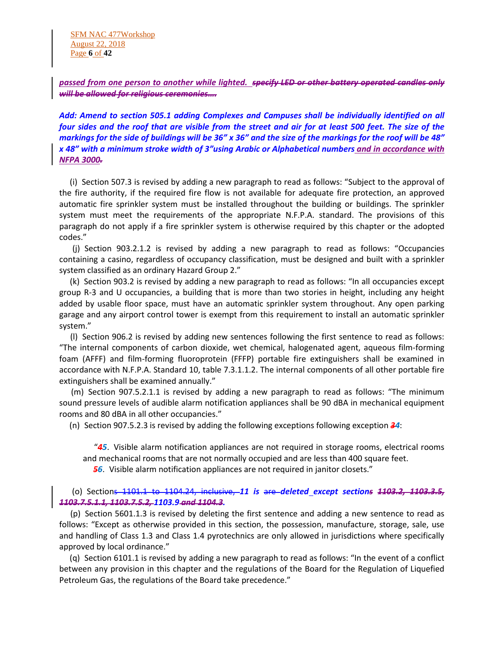SFM NAC 477Workshop August 22, 2018 Page **6** of **42**

*passed from one person to another while lighted. specify LED or other battery operated candles only will be allowed for religious ceremonies….*

*Add: Amend to section 505.1 adding Complexes and Campuses shall be individually identified on all four sides and the roof that are visible from the street and air for at least 500 feet. The size of the markings for the side of buildings will be 36" x 36" and the size of the markings for the roof will be 48" x 48" with a minimum stroke width of 3"using Arabic or Alphabetical numbers and in accordance with NFPA 3000.* 

 (i) Section 507.3 is revised by adding a new paragraph to read as follows: "Subject to the approval of the fire authority, if the required fire flow is not available for adequate fire protection, an approved automatic fire sprinkler system must be installed throughout the building or buildings. The sprinkler system must meet the requirements of the appropriate N.F.P.A. standard. The provisions of this paragraph do not apply if a fire sprinkler system is otherwise required by this chapter or the adopted codes."

 (j) Section 903.2.1.2 is revised by adding a new paragraph to read as follows: "Occupancies containing a casino, regardless of occupancy classification, must be designed and built with a sprinkler system classified as an ordinary Hazard Group 2."

 (k) Section 903.2 is revised by adding a new paragraph to read as follows: "In all occupancies except group R-3 and U occupancies, a building that is more than two stories in height, including any height added by usable floor space, must have an automatic sprinkler system throughout. Any open parking garage and any airport control tower is exempt from this requirement to install an automatic sprinkler system."

 (l) Section 906.2 is revised by adding new sentences following the first sentence to read as follows: "The internal components of carbon dioxide, wet chemical, halogenated agent, aqueous film-forming foam (AFFF) and film-forming fluoroprotein (FFFP) portable fire extinguishers shall be examined in accordance with N.F.P.A. Standard 10, table 7.3.1.1.2. The internal components of all other portable fire extinguishers shall be examined annually."

 (m) Section 907.5.2.1.1 is revised by adding a new paragraph to read as follows: "The minimum sound pressure levels of audible alarm notification appliances shall be 90 dBA in mechanical equipment rooms and 80 dBA in all other occupancies."

(n) Section 907.5.2.3 is revised by adding the following exceptions following exception *34*:

 "*45*. Visible alarm notification appliances are not required in storage rooms, electrical rooms and mechanical rooms that are not normally occupied and are less than 400 square feet.

*56*. Visible alarm notification appliances are not required in janitor closets."

 (o) Sections 1101.1 to 1104.24, inclusive, *11 is* are *deleted except sections 1103.2, 1103.3.5, 1103.7.5.1.1, 1103.7.5.2, 1103.9 and 1104.3.*

 (p) Section 5601.1.3 is revised by deleting the first sentence and adding a new sentence to read as follows: "Except as otherwise provided in this section, the possession, manufacture, storage, sale, use and handling of Class 1.3 and Class 1.4 pyrotechnics are only allowed in jurisdictions where specifically approved by local ordinance."

 (q) Section 6101.1 is revised by adding a new paragraph to read as follows: "In the event of a conflict between any provision in this chapter and the regulations of the Board for the Regulation of Liquefied Petroleum Gas, the regulations of the Board take precedence."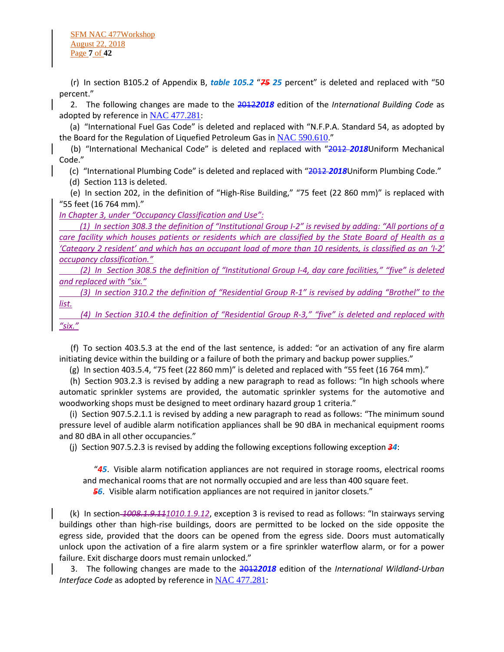(r) In section B105.2 of Appendix B, *table 105.2* "*75 25* percent" is deleted and replaced with "50 percent."

 2. The following changes are made to the 2012*2018* edition of the *International Building Code* as adopted by reference in  $NAC$  477.281:

 (a) "International Fuel Gas Code" is deleted and replaced with "N.F.P.A. Standard 54, as adopted by the Board for the Regulation of Liquefied Petroleum Gas in [NAC 590.610](https://www.leg.state.nv.us/NAC/NAC-590.html#NAC590Sec610)."

 (b) "International Mechanical Code" is deleted and replaced with "2012 *2018*Uniform Mechanical Code."

(c) "International Plumbing Code" is deleted and replaced with "2012 *2018*Uniform Plumbing Code."

(d) Section 113 is deleted.

 (e) In section 202, in the definition of "High-Rise Building," "75 feet (22 860 mm)" is replaced with "55 feet (16 764 mm)."

*In Chapter 3, under "Occupancy Classification and Use":*

 *(1) In section 308.3 the definition of "Institutional Group I-2" is revised by adding: "All portions of a care facility which houses patients or residents which are classified by the State Board of Health as a 'Category 2 resident' and which has an occupant load of more than 10 residents, is classified as an 'I-2' occupancy classification."*

 *(2) In Section 308.5 the definition of "Institutional Group I-4, day care facilities," "five" is deleted and replaced with "six."*

 *(3) In section 310.2 the definition of "Residential Group R-1" is revised by adding "Brothel" to the list.*

 *(4) In Section 310.4 the definition of "Residential Group R-3," "five" is deleted and replaced with "six."*

 (f) To section 403.5.3 at the end of the last sentence, is added: "or an activation of any fire alarm initiating device within the building or a failure of both the primary and backup power supplies."

(g) In section 403.5.4, "75 feet (22 860 mm)" is deleted and replaced with "55 feet (16 764 mm)."

 (h) Section 903.2.3 is revised by adding a new paragraph to read as follows: "In high schools where automatic sprinkler systems are provided, the automatic sprinkler systems for the automotive and woodworking shops must be designed to meet ordinary hazard group 1 criteria."

 (i) Section 907.5.2.1.1 is revised by adding a new paragraph to read as follows: "The minimum sound pressure level of audible alarm notification appliances shall be 90 dBA in mechanical equipment rooms and 80 dBA in all other occupancies."

(j) Section 907.5.2.3 is revised by adding the following exceptions following exception *34*:

 "*45*. Visible alarm notification appliances are not required in storage rooms, electrical rooms and mechanical rooms that are not normally occupied and are less than 400 square feet.

*56*. Visible alarm notification appliances are not required in janitor closets."

 (k) In section *1008.1.9.111010.1.9.12*, exception 3 is revised to read as follows: "In stairways serving buildings other than high-rise buildings, doors are permitted to be locked on the side opposite the egress side, provided that the doors can be opened from the egress side. Doors must automatically unlock upon the activation of a fire alarm system or a fire sprinkler waterflow alarm, or for a power failure. Exit discharge doors must remain unlocked."

 3. The following changes are made to the 2012*2018* edition of the *International Wildland-Urban Interface Code* as adopted by reference in [NAC 477.281](https://www.leg.state.nv.us/NAC/NAC-477.html#NAC477Sec281):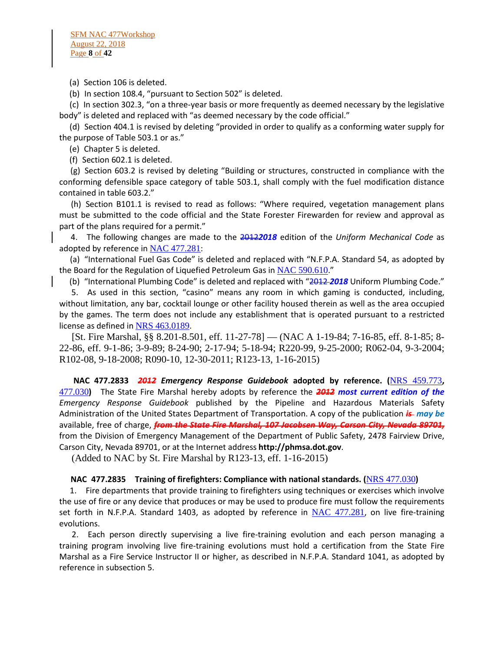(a) Section 106 is deleted.

(b) In section 108.4, "pursuant to Section 502" is deleted.

 (c) In section 302.3, "on a three-year basis or more frequently as deemed necessary by the legislative body" is deleted and replaced with "as deemed necessary by the code official."

 (d) Section 404.1 is revised by deleting "provided in order to qualify as a conforming water supply for the purpose of Table 503.1 or as."

(e) Chapter 5 is deleted.

(f) Section 602.1 is deleted.

 (g) Section 603.2 is revised by deleting "Building or structures, constructed in compliance with the conforming defensible space category of table 503.1, shall comply with the fuel modification distance contained in table 603.2."

 (h) Section B101.1 is revised to read as follows: "Where required, vegetation management plans must be submitted to the code official and the State Forester Firewarden for review and approval as part of the plans required for a permit."

 4. The following changes are made to the 2012*2018* edition of the *Uniform Mechanical Code* as adopted by reference in [NAC 477.281](https://www.leg.state.nv.us/NAC/NAC-477.html#NAC477Sec281):

 (a) "International Fuel Gas Code" is deleted and replaced with "N.F.P.A. Standard 54, as adopted by the Board for the Regulation of Liquefied Petroleum Gas in [NAC 590.610](https://www.leg.state.nv.us/NAC/NAC-590.html#NAC590Sec610)."

(b) "International Plumbing Code" is deleted and replaced with "2012 *2018* Uniform Plumbing Code."

 5. As used in this section, "casino" means any room in which gaming is conducted, including, without limitation, any bar, cocktail lounge or other facility housed therein as well as the area occupied by the games. The term does not include any establishment that is operated pursuant to a restricted license as defined in [NRS 463.0189](https://www.leg.state.nv.us/NRS/NRS-463.html#NRS463Sec0189).

 [St. Fire Marshal, §§ 8.201-8.501, eff. 11-27-78] — (NAC A 1-19-84; 7-16-85, eff. 8-1-85; 8- 22-86, eff. 9-1-86; 3-9-89; 8-24-90; 2-17-94; 5-18-94; R220-99, 9-25-2000; R062-04, 9-3-2004; R102-08, 9-18-2008; R090-10, 12-30-2011; R123-13, 1-16-2015)

 **NAC 477.2833** *2012 Emergency Response Guidebook* **adopted by reference. (**[NRS 459.773](https://www.leg.state.nv.us/NRS/NRS-459.html#NRS459Sec773)**,**  [477.030](https://www.leg.state.nv.us/NRS/NRS-477.html#NRS477Sec030)**)** The State Fire Marshal hereby adopts by reference the *2012 most current edition of the Emergency Response Guidebook* published by the Pipeline and Hazardous Materials Safety Administration of the United States Department of Transportation. A copy of the publication *is may be*  available, free of charge, *from the State Fire Marshal, 107 Jacobsen Way, Carson City, Nevada 89701,* from the Division of Emergency Management of the Department of Public Safety, 2478 Fairview Drive, Carson City, Nevada 89701, or at the Internet address **http://phmsa.dot.gov**.

(Added to NAC by St. Fire Marshal by R123-13, eff. 1-16-2015)

### **NAC 477.2835 Training of firefighters: Compliance with national standards. (**[NRS 477.030](https://www.leg.state.nv.us/NRS/NRS-477.html#NRS477Sec030)**)**

 1. Fire departments that provide training to firefighters using techniques or exercises which involve the use of fire or any device that produces or may be used to produce fire must follow the requirements set forth in N.F.P.A. Standard 1403, as adopted by reference in [NAC 477.281](https://www.leg.state.nv.us/NAC/NAC-477.html#NAC477Sec281), on live fire-training evolutions.

 2. Each person directly supervising a live fire-training evolution and each person managing a training program involving live fire-training evolutions must hold a certification from the State Fire Marshal as a Fire Service Instructor II or higher, as described in N.F.P.A. Standard 1041, as adopted by reference in subsection 5.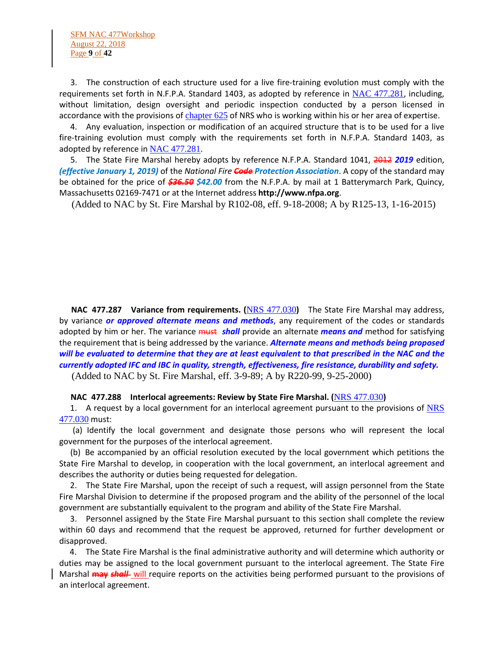SFM NAC 477Workshop August 22, 2018 Page **9** of **42**

 3. The construction of each structure used for a live fire-training evolution must comply with the requirements set forth in N.F.P.A. Standard 1403, as adopted by reference in [NAC 477.281](https://www.leg.state.nv.us/NAC/NAC-477.html#NAC477Sec281), including, without limitation, design oversight and periodic inspection conducted by a person licensed in accordance with the provisions of [chapter 625](https://www.leg.state.nv.us/NRS/NRS-625.html#NRS625) of NRS who is working within his or her area of expertise.

 4. Any evaluation, inspection or modification of an acquired structure that is to be used for a live fire-training evolution must comply with the requirements set forth in N.F.P.A. Standard 1403, as adopted by reference in [NAC 477.281](https://www.leg.state.nv.us/NAC/NAC-477.html#NAC477Sec281).

 5. The State Fire Marshal hereby adopts by reference N.F.P.A. Standard 1041, 2012 *2019* edition, *(effective January 1, 2019)* of the *National Fire Code Protection Association*. A copy of the standard may be obtained for the price of *\$36.50 \$42.00* from the N.F.P.A. by mail at 1 Batterymarch Park, Quincy, Massachusetts 02169-7471 or at the Internet address **http://www.nfpa.org**.

(Added to NAC by St. Fire Marshal by R102-08, eff. 9-18-2008; A by R125-13, 1-16-2015)

 **NAC 477.287 Variance from requirements. (**[NRS 477.030](https://www.leg.state.nv.us/NRS/NRS-477.html#NRS477Sec030)**)** The State Fire Marshal may address, by variance *or approved alternate means and methods*, any requirement of the codes or standards adopted by him or her. The variance must *shall* provide an alternate *means and* method for satisfying the requirement that is being addressed by the variance. *Alternate means and methods being proposed will be evaluated to determine that they are at least equivalent to that prescribed in the NAC and the currently adopted IFC and IBC in quality, strength, effectiveness, fire resistance, durability and safety.*

(Added to NAC by St. Fire Marshal, eff. 3-9-89; A by R220-99, 9-25-2000)

#### **NAC 477.288 Interlocal agreements: Review by State Fire Marshal. (**[NRS 477.030](https://www.leg.state.nv.us/NRS/NRS-477.html#NRS477Sec030)**)**

1. A request by a local government for an interlocal agreement pursuant to the provisions of NRS [477.030](https://www.leg.state.nv.us/NRS/NRS-477.html#NRS477Sec030) must:

 (a) Identify the local government and designate those persons who will represent the local government for the purposes of the interlocal agreement.

 (b) Be accompanied by an official resolution executed by the local government which petitions the State Fire Marshal to develop, in cooperation with the local government, an interlocal agreement and describes the authority or duties being requested for delegation.

 2. The State Fire Marshal, upon the receipt of such a request, will assign personnel from the State Fire Marshal Division to determine if the proposed program and the ability of the personnel of the local government are substantially equivalent to the program and ability of the State Fire Marshal.

 3. Personnel assigned by the State Fire Marshal pursuant to this section shall complete the review within 60 days and recommend that the request be approved, returned for further development or disapproved.

 4. The State Fire Marshal is the final administrative authority and will determine which authority or duties may be assigned to the local government pursuant to the interlocal agreement. The State Fire Marshal **may** *shall* will require reports on the activities being performed pursuant to the provisions of an interlocal agreement.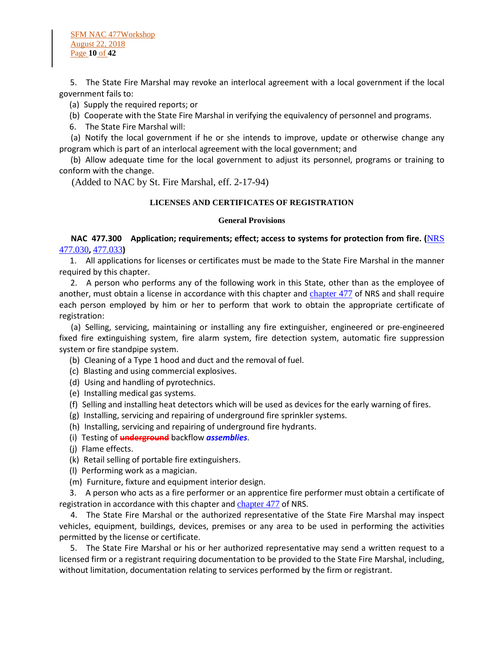5. The State Fire Marshal may revoke an interlocal agreement with a local government if the local government fails to:

(a) Supply the required reports; or

(b) Cooperate with the State Fire Marshal in verifying the equivalency of personnel and programs.

6. The State Fire Marshal will:

 (a) Notify the local government if he or she intends to improve, update or otherwise change any program which is part of an interlocal agreement with the local government; and

 (b) Allow adequate time for the local government to adjust its personnel, programs or training to conform with the change.

(Added to NAC by St. Fire Marshal, eff. 2-17-94)

#### **LICENSES AND CERTIFICATES OF REGISTRATION**

#### **General Provisions**

 **NAC 477.300 Application; requirements; effect; access to systems for protection from fire. (**[NRS](https://www.leg.state.nv.us/NRS/NRS-477.html#NRS477Sec030)  [477.030](https://www.leg.state.nv.us/NRS/NRS-477.html#NRS477Sec030)**,** [477.033](https://www.leg.state.nv.us/NRS/NRS-477.html#NRS477Sec033)**)**

 1. All applications for licenses or certificates must be made to the State Fire Marshal in the manner required by this chapter.

 2. A person who performs any of the following work in this State, other than as the employee of another, must obtain a license in accordance with this chapter and [chapter 477](https://www.leg.state.nv.us/NRS/NRS-477.html#NRS477) of NRS and shall require each person employed by him or her to perform that work to obtain the appropriate certificate of registration:

 (a) Selling, servicing, maintaining or installing any fire extinguisher, engineered or pre-engineered fixed fire extinguishing system, fire alarm system, fire detection system, automatic fire suppression system or fire standpipe system.

- (b) Cleaning of a Type 1 hood and duct and the removal of fuel.
- (c) Blasting and using commercial explosives.
- (d) Using and handling of pyrotechnics.
- (e) Installing medical gas systems.
- (f) Selling and installing heat detectors which will be used as devices for the early warning of fires.
- (g) Installing, servicing and repairing of underground fire sprinkler systems.
- (h) Installing, servicing and repairing of underground fire hydrants.
- (i) Testing of **underground** backflow *assemblies*.
- (j) Flame effects.
- (k) Retail selling of portable fire extinguishers.
- (l) Performing work as a magician.
- (m) Furniture, fixture and equipment interior design.

 3. A person who acts as a fire performer or an apprentice fire performer must obtain a certificate of registration in accordance with this chapter and [chapter 477](https://www.leg.state.nv.us/NRS/NRS-477.html#NRS477) of NRS.

 4. The State Fire Marshal or the authorized representative of the State Fire Marshal may inspect vehicles, equipment, buildings, devices, premises or any area to be used in performing the activities permitted by the license or certificate.

 5. The State Fire Marshal or his or her authorized representative may send a written request to a licensed firm or a registrant requiring documentation to be provided to the State Fire Marshal, including, without limitation, documentation relating to services performed by the firm or registrant.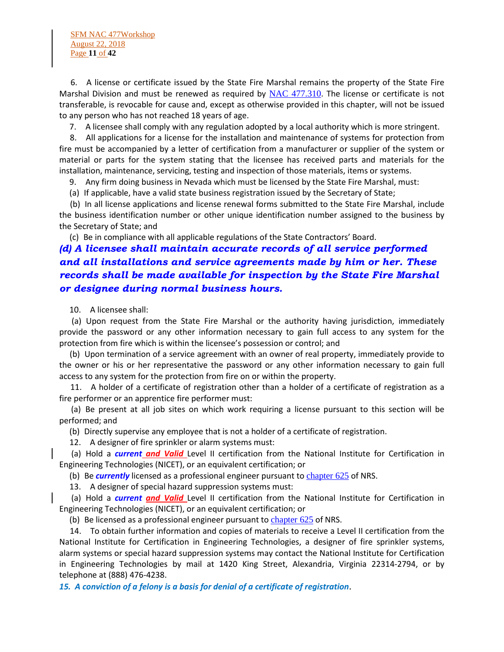6. A license or certificate issued by the State Fire Marshal remains the property of the State Fire Marshal Division and must be renewed as required by  $NAC$  477.310. The license or certificate is not transferable, is revocable for cause and, except as otherwise provided in this chapter, will not be issued to any person who has not reached 18 years of age.

7. A licensee shall comply with any regulation adopted by a local authority which is more stringent.

 8. All applications for a license for the installation and maintenance of systems for protection from fire must be accompanied by a letter of certification from a manufacturer or supplier of the system or material or parts for the system stating that the licensee has received parts and materials for the installation, maintenance, servicing, testing and inspection of those materials, items or systems.

9. Any firm doing business in Nevada which must be licensed by the State Fire Marshal, must:

(a) If applicable, have a valid state business registration issued by the Secretary of State;

 (b) In all license applications and license renewal forms submitted to the State Fire Marshal, include the business identification number or other unique identification number assigned to the business by the Secretary of State; and

(c) Be in compliance with all applicable regulations of the State Contractors' Board.

# *(d) A licensee shall maintain accurate records of all service performed and all installations and service agreements made by him or her. These records shall be made available for inspection by the State Fire Marshal or designee during normal business hours.*

10. A licensee shall:

 (a) Upon request from the State Fire Marshal or the authority having jurisdiction, immediately provide the password or any other information necessary to gain full access to any system for the protection from fire which is within the licensee's possession or control; and

 (b) Upon termination of a service agreement with an owner of real property, immediately provide to the owner or his or her representative the password or any other information necessary to gain full access to any system for the protection from fire on or within the property.

 11. A holder of a certificate of registration other than a holder of a certificate of registration as a fire performer or an apprentice fire performer must:

 (a) Be present at all job sites on which work requiring a license pursuant to this section will be performed; and

(b) Directly supervise any employee that is not a holder of a certificate of registration.

12. A designer of fire sprinkler or alarm systems must:

 (a) Hold a *current and Valid* Level II certification from the National Institute for Certification in Engineering Technologies (NICET), or an equivalent certification; or

(b) Be *currently* licensed as a professional engineer pursuant to [chapter 625](https://www.leg.state.nv.us/NRS/NRS-625.html#NRS625) of NRS.

13. A designer of special hazard suppression systems must:

 (a) Hold a *current and Valid* Level II certification from the National Institute for Certification in Engineering Technologies (NICET), or an equivalent certification; or

(b) Be licensed as a professional engineer pursuant to  $chapter 625$  $chapter 625$  $chapter 625$  of NRS.</u>

 14. To obtain further information and copies of materials to receive a Level II certification from the National Institute for Certification in Engineering Technologies, a designer of fire sprinkler systems, alarm systems or special hazard suppression systems may contact the National Institute for Certification in Engineering Technologies by mail at 1420 King Street, Alexandria, Virginia 22314-2794, or by telephone at (888) 476-4238.

*15. A conviction of a felony is a basis for denial of a certificate of registration*.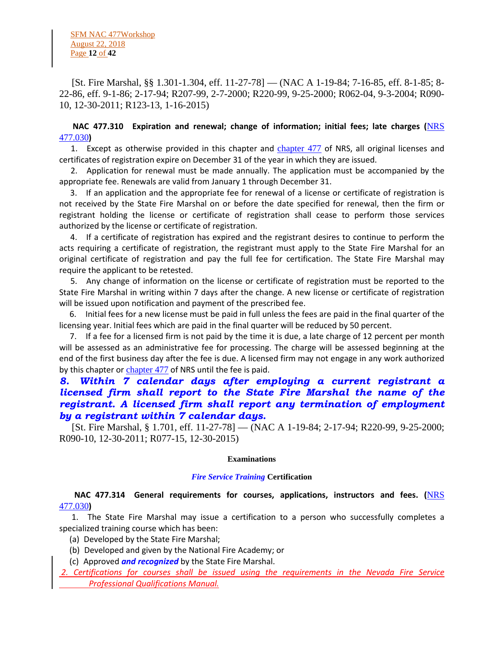[St. Fire Marshal, §§ 1.301-1.304, eff. 11-27-78] — (NAC A 1-19-84; 7-16-85, eff. 8-1-85; 8- 22-86, eff. 9-1-86; 2-17-94; R207-99, 2-7-2000; R220-99, 9-25-2000; R062-04, 9-3-2004; R090- 10, 12-30-2011; R123-13, 1-16-2015)

# **NAC 477.310 Expiration and renewal; change of information; initial fees; late charges (**[NRS](https://www.leg.state.nv.us/NRS/NRS-477.html#NRS477Sec030)  [477.030](https://www.leg.state.nv.us/NRS/NRS-477.html#NRS477Sec030)**)**

 1. Except as otherwise provided in this chapter and [chapter 477](https://www.leg.state.nv.us/NRS/NRS-477.html#NRS477) of NRS, all original licenses and certificates of registration expire on December 31 of the year in which they are issued.

 2. Application for renewal must be made annually. The application must be accompanied by the appropriate fee. Renewals are valid from January 1 through December 31.

 3. If an application and the appropriate fee for renewal of a license or certificate of registration is not received by the State Fire Marshal on or before the date specified for renewal, then the firm or registrant holding the license or certificate of registration shall cease to perform those services authorized by the license or certificate of registration.

 4. If a certificate of registration has expired and the registrant desires to continue to perform the acts requiring a certificate of registration, the registrant must apply to the State Fire Marshal for an original certificate of registration and pay the full fee for certification. The State Fire Marshal may require the applicant to be retested.

 5. Any change of information on the license or certificate of registration must be reported to the State Fire Marshal in writing within 7 days after the change. A new license or certificate of registration will be issued upon notification and payment of the prescribed fee.

 6. Initial fees for a new license must be paid in full unless the fees are paid in the final quarter of the licensing year. Initial fees which are paid in the final quarter will be reduced by 50 percent.

 7. If a fee for a licensed firm is not paid by the time it is due, a late charge of 12 percent per month will be assessed as an administrative fee for processing. The charge will be assessed beginning at the end of the first business day after the fee is due. A licensed firm may not engage in any work authorized by this chapter or [chapter 477](https://www.leg.state.nv.us/NRS/NRS-477.html#NRS477) of NRS until the fee is paid.

# *8. Within 7 calendar days after employing a current registrant a licensed firm shall report to the State Fire Marshal the name of the registrant. A licensed firm shall report any termination of employment by a registrant within 7 calendar days.*

 [St. Fire Marshal, § 1.701, eff. 11-27-78] — (NAC A 1-19-84; 2-17-94; R220-99, 9-25-2000; R090-10, 12-30-2011; R077-15, 12-30-2015)

#### **Examinations**

### *Fire Service Training* **Certification**

# **NAC 477.314 General requirements for courses, applications, instructors and fees. (**[NRS](https://www.leg.state.nv.us/NRS/NRS-477.html#NRS477Sec030)  [477.030](https://www.leg.state.nv.us/NRS/NRS-477.html#NRS477Sec030)**)**

 1. The State Fire Marshal may issue a certification to a person who successfully completes a specialized training course which has been:

- (a) Developed by the State Fire Marshal;
- (b) Developed and given by the National Fire Academy; or
- (c) Approved *and recognized* by the State Fire Marshal.
- *2. Certifications for courses shall be issued using the requirements in the Nevada Fire Service Professional Qualifications Manual.*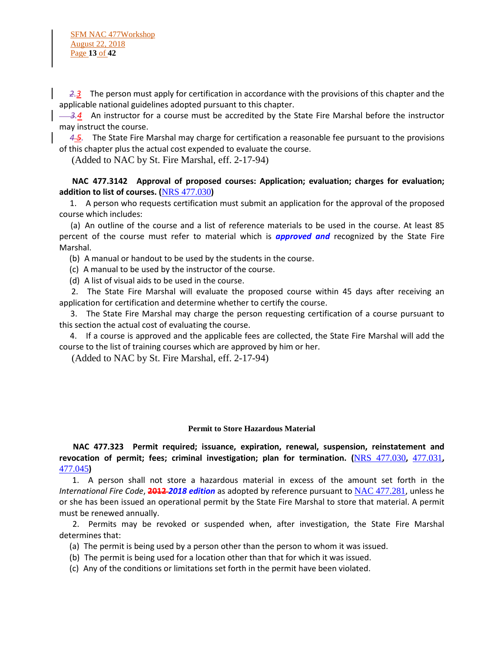*2.3* The person must apply for certification in accordance with the provisions of this chapter and the applicable national guidelines adopted pursuant to this chapter.

3.4 An instructor for a course must be accredited by the State Fire Marshal before the instructor may instruct the course.

 *4 5.* The State Fire Marshal may charge for certification a reasonable fee pursuant to the provisions of this chapter plus the actual cost expended to evaluate the course.

(Added to NAC by St. Fire Marshal, eff. 2-17-94)

# **NAC 477.3142 Approval of proposed courses: Application; evaluation; charges for evaluation; addition to list of courses. (**[NRS 477.030](https://www.leg.state.nv.us/NRS/NRS-477.html#NRS477Sec030)**)**

 1. A person who requests certification must submit an application for the approval of the proposed course which includes:

 (a) An outline of the course and a list of reference materials to be used in the course. At least 85 percent of the course must refer to material which is *approved and* recognized by the State Fire Marshal.

(b) A manual or handout to be used by the students in the course.

(c) A manual to be used by the instructor of the course.

(d) A list of visual aids to be used in the course.

 2. The State Fire Marshal will evaluate the proposed course within 45 days after receiving an application for certification and determine whether to certify the course.

 3. The State Fire Marshal may charge the person requesting certification of a course pursuant to this section the actual cost of evaluating the course.

 4. If a course is approved and the applicable fees are collected, the State Fire Marshal will add the course to the list of training courses which are approved by him or her.

(Added to NAC by St. Fire Marshal, eff. 2-17-94)

#### **Permit to Store Hazardous Material**

 **NAC 477.323 Permit required; issuance, expiration, renewal, suspension, reinstatement and revocation of permit; fees; criminal investigation; plan for termination. (**[NRS 477.030](https://www.leg.state.nv.us/NRS/NRS-477.html#NRS477Sec030)**,** [477.031](https://www.leg.state.nv.us/NRS/NRS-477.html#NRS477Sec031)**,**  [477.045](https://www.leg.state.nv.us/NRS/NRS-477.html#NRS477Sec045)**)**

 1. A person shall not store a hazardous material in excess of the amount set forth in the *International Fire Code*, **2012** *2018 edition* as adopted by reference pursuant to [NAC 477.281](https://www.leg.state.nv.us/NAC/NAC-477.html#NAC477Sec281), unless he or she has been issued an operational permit by the State Fire Marshal to store that material. A permit must be renewed annually.

 2. Permits may be revoked or suspended when, after investigation, the State Fire Marshal determines that:

(a) The permit is being used by a person other than the person to whom it was issued.

- (b) The permit is being used for a location other than that for which it was issued.
- (c) Any of the conditions or limitations set forth in the permit have been violated.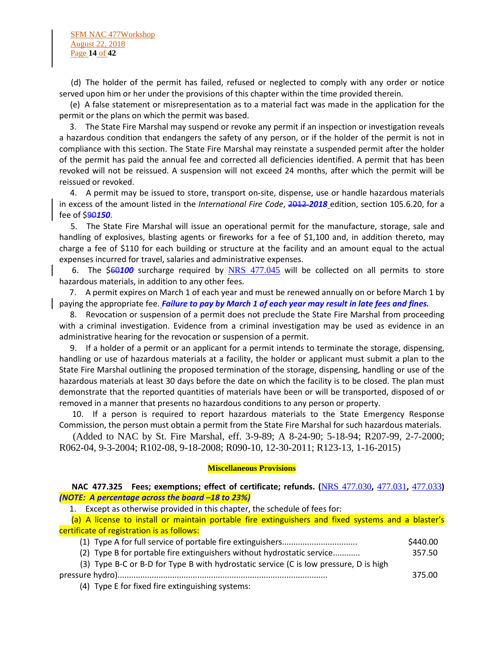SFM NAC 477Workshop August 22, 2018 Page **14** of **42**

 (d) The holder of the permit has failed, refused or neglected to comply with any order or notice served upon him or her under the provisions of this chapter within the time provided therein.

 (e) A false statement or misrepresentation as to a material fact was made in the application for the permit or the plans on which the permit was based.

 3. The State Fire Marshal may suspend or revoke any permit if an inspection or investigation reveals a hazardous condition that endangers the safety of any person, or if the holder of the permit is not in compliance with this section. The State Fire Marshal may reinstate a suspended permit after the holder of the permit has paid the annual fee and corrected all deficiencies identified. A permit that has been revoked will not be reissued. A suspension will not exceed 24 months, after which the permit will be reissued or revoked.

 4. A permit may be issued to store, transport on-site, dispense, use or handle hazardous materials in excess of the amount listed in the *International Fire Code*, 2012 *2018* edition, section 105.6.20, for a fee of \$90*150*.

 5. The State Fire Marshal will issue an operational permit for the manufacture, storage, sale and handling of explosives, blasting agents or fireworks for a fee of \$1,100 and, in addition thereto, may charge a fee of \$110 for each building or structure at the facility and an amount equal to the actual expenses incurred for travel, salaries and administrative expenses.

 6. The \$60*100* surcharge required by [NRS 477.045](https://www.leg.state.nv.us/NRS/NRS-477.html#NRS477Sec045) will be collected on all permits to store hazardous materials, in addition to any other fees.

 7. A permit expires on March 1 of each year and must be renewed annually on or before March 1 by paying the appropriate fee. *Failure to pay by March 1 of each year may result in late fees and fines.*

 8. Revocation or suspension of a permit does not preclude the State Fire Marshal from proceeding with a criminal investigation. Evidence from a criminal investigation may be used as evidence in an administrative hearing for the revocation or suspension of a permit.

 9. If a holder of a permit or an applicant for a permit intends to terminate the storage, dispensing, handling or use of hazardous materials at a facility, the holder or applicant must submit a plan to the State Fire Marshal outlining the proposed termination of the storage, dispensing, handling or use of the hazardous materials at least 30 days before the date on which the facility is to be closed. The plan must demonstrate that the reported quantities of materials have been or will be transported, disposed of or removed in a manner that presents no hazardous conditions to any person or property.

 10. If a person is required to report hazardous materials to the State Emergency Response Commission, the person must obtain a permit from the State Fire Marshal for such hazardous materials.

 (Added to NAC by St. Fire Marshal, eff. 3-9-89; A 8-24-90; 5-18-94; R207-99, 2-7-2000; R062-04, 9-3-2004; R102-08, 9-18-2008; R090-10, 12-30-2011; R123-13, 1-16-2015)

#### **Miscellaneous Provisions**

#### **NAC 477.325 Fees; exemptions; effect of certificate; refunds. (**[NRS 477.030](https://www.leg.state.nv.us/NRS/NRS-477.html#NRS477Sec030)**,** [477.031](https://www.leg.state.nv.us/NRS/NRS-477.html#NRS477Sec031)**,** [477.033](https://www.leg.state.nv.us/NRS/NRS-477.html#NRS477Sec033)**)** *(NOTE: A percentage across the board –18 to 23%)*

1. Except as otherwise provided in this chapter, the schedule of fees for:

 (a) A license to install or maintain portable fire extinguishers and fixed systems and a blaster's certificate of registration is as follows:

|                                                                                                                                                                                                                                                                                                                   | \$440.00 |
|-------------------------------------------------------------------------------------------------------------------------------------------------------------------------------------------------------------------------------------------------------------------------------------------------------------------|----------|
| (2) Type B for portable fire extinguishers without hydrostatic service                                                                                                                                                                                                                                            | 357.50   |
| (3) Type B-C or B-D for Type B with hydrostatic service (C is low pressure, D is high                                                                                                                                                                                                                             |          |
|                                                                                                                                                                                                                                                                                                                   | 375.00   |
| $\mathcal{L}$ and $\mathcal{L}$ and $\mathcal{L}$ and $\mathcal{L}$ and $\mathcal{L}$ and $\mathcal{L}$ and $\mathcal{L}$ and $\mathcal{L}$ and $\mathcal{L}$ and $\mathcal{L}$ and $\mathcal{L}$ and $\mathcal{L}$ and $\mathcal{L}$ and $\mathcal{L}$ and $\mathcal{L}$ and $\mathcal{L}$ and $\mathcal{L}$ and |          |

(4) Type E for fixed fire extinguishing systems: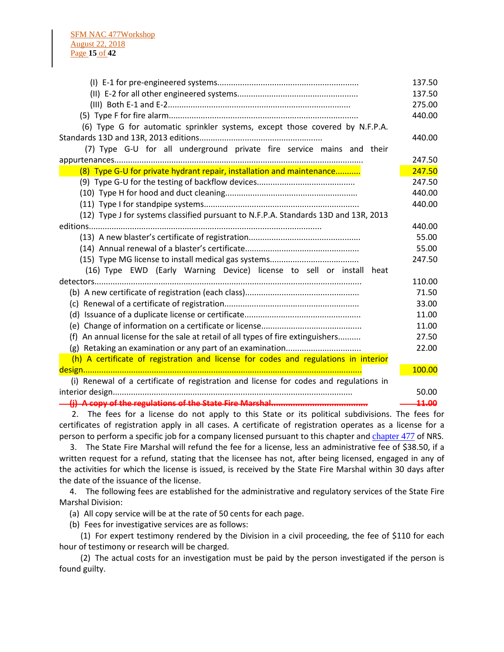|                                                                                       | 137.50 |
|---------------------------------------------------------------------------------------|--------|
|                                                                                       | 137.50 |
|                                                                                       | 275.00 |
|                                                                                       | 440.00 |
| (6) Type G for automatic sprinkler systems, except those covered by N.F.P.A.          |        |
|                                                                                       | 440.00 |
| (7) Type G-U for all underground private fire service mains and their                 |        |
|                                                                                       | 247.50 |
| (8) Type G-U for private hydrant repair, installation and maintenance                 | 247.50 |
|                                                                                       | 247.50 |
|                                                                                       | 440.00 |
|                                                                                       | 440.00 |
| (12) Type J for systems classified pursuant to N.F.P.A. Standards 13D and 13R, 2013   |        |
|                                                                                       | 440.00 |
|                                                                                       | 55.00  |
|                                                                                       | 55.00  |
|                                                                                       | 247.50 |
| (16) Type EWD (Early Warning Device) license to sell or install heat                  |        |
|                                                                                       | 110.00 |
|                                                                                       | 71.50  |
|                                                                                       | 33.00  |
|                                                                                       | 11.00  |
|                                                                                       | 11.00  |
| (f) An annual license for the sale at retail of all types of fire extinguishers       | 27.50  |
|                                                                                       | 22.00  |
| (h) A certificate of registration and license for codes and regulations in interior   |        |
|                                                                                       | 100.00 |
| (i) Renewal of a certificate of registration and license for codes and regulations in |        |
|                                                                                       | 50.00  |
|                                                                                       | 11.00  |

 2. The fees for a license do not apply to this State or its political subdivisions. The fees for certificates of registration apply in all cases. A certificate of registration operates as a license for a person to perform a specific job for a company licensed pursuant to this chapter and [chapter 477](https://www.leg.state.nv.us/NRS/NRS-477.html#NRS477) of NRS.

 3. The State Fire Marshal will refund the fee for a license, less an administrative fee of \$38.50, if a written request for a refund, stating that the licensee has not, after being licensed, engaged in any of the activities for which the license is issued, is received by the State Fire Marshal within 30 days after the date of the issuance of the license.

 4. The following fees are established for the administrative and regulatory services of the State Fire Marshal Division:

(a) All copy service will be at the rate of 50 cents for each page.

(b) Fees for investigative services are as follows:

 (1) For expert testimony rendered by the Division in a civil proceeding, the fee of \$110 for each hour of testimony or research will be charged.

 (2) The actual costs for an investigation must be paid by the person investigated if the person is found guilty.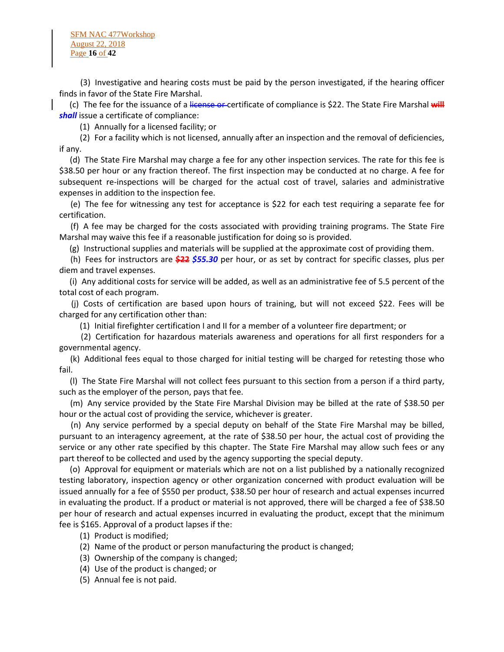SFM NAC 477Workshop August 22, 2018 Page **16** of **42**

 (3) Investigative and hearing costs must be paid by the person investigated, if the hearing officer finds in favor of the State Fire Marshal.

 (c) The fee for the issuance of a license or certificate of compliance is \$22. The State Fire Marshal **will** *shall* issue a certificate of compliance:

(1) Annually for a licensed facility; or

 (2) For a facility which is not licensed, annually after an inspection and the removal of deficiencies, if any.

 (d) The State Fire Marshal may charge a fee for any other inspection services. The rate for this fee is \$38.50 per hour or any fraction thereof. The first inspection may be conducted at no charge. A fee for subsequent re-inspections will be charged for the actual cost of travel, salaries and administrative expenses in addition to the inspection fee.

 (e) The fee for witnessing any test for acceptance is \$22 for each test requiring a separate fee for certification.

 (f) A fee may be charged for the costs associated with providing training programs. The State Fire Marshal may waive this fee if a reasonable justification for doing so is provided.

(g) Instructional supplies and materials will be supplied at the approximate cost of providing them.

 (h) Fees for instructors are **\$22** *\$55.30* per hour, or as set by contract for specific classes, plus per diem and travel expenses.

 (i) Any additional costs for service will be added, as well as an administrative fee of 5.5 percent of the total cost of each program.

 (j) Costs of certification are based upon hours of training, but will not exceed \$22. Fees will be charged for any certification other than:

(1) Initial firefighter certification I and II for a member of a volunteer fire department; or

 (2) Certification for hazardous materials awareness and operations for all first responders for a governmental agency.

 (k) Additional fees equal to those charged for initial testing will be charged for retesting those who fail.

 (l) The State Fire Marshal will not collect fees pursuant to this section from a person if a third party, such as the employer of the person, pays that fee.

 (m) Any service provided by the State Fire Marshal Division may be billed at the rate of \$38.50 per hour or the actual cost of providing the service, whichever is greater.

 (n) Any service performed by a special deputy on behalf of the State Fire Marshal may be billed, pursuant to an interagency agreement, at the rate of \$38.50 per hour, the actual cost of providing the service or any other rate specified by this chapter. The State Fire Marshal may allow such fees or any part thereof to be collected and used by the agency supporting the special deputy.

 (o) Approval for equipment or materials which are not on a list published by a nationally recognized testing laboratory, inspection agency or other organization concerned with product evaluation will be issued annually for a fee of \$550 per product, \$38.50 per hour of research and actual expenses incurred in evaluating the product. If a product or material is not approved, there will be charged a fee of \$38.50 per hour of research and actual expenses incurred in evaluating the product, except that the minimum fee is \$165. Approval of a product lapses if the:

- (1) Product is modified;
- (2) Name of the product or person manufacturing the product is changed;
- (3) Ownership of the company is changed;
- (4) Use of the product is changed; or
- (5) Annual fee is not paid.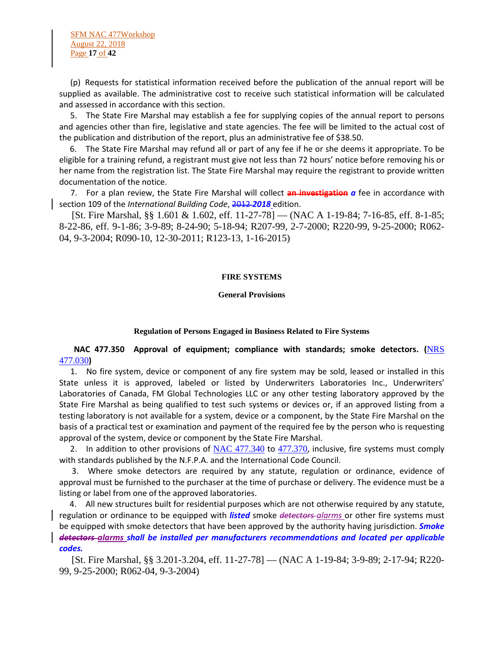SFM NAC 477Workshop August 22, 2018 Page **17** of **42**

 (p) Requests for statistical information received before the publication of the annual report will be supplied as available. The administrative cost to receive such statistical information will be calculated and assessed in accordance with this section.

 5. The State Fire Marshal may establish a fee for supplying copies of the annual report to persons and agencies other than fire, legislative and state agencies. The fee will be limited to the actual cost of the publication and distribution of the report, plus an administrative fee of \$38.50.

 6. The State Fire Marshal may refund all or part of any fee if he or she deems it appropriate. To be eligible for a training refund, a registrant must give not less than 72 hours' notice before removing his or her name from the registration list. The State Fire Marshal may require the registrant to provide written documentation of the notice.

 7. For a plan review, the State Fire Marshal will collect **an investigation** *a* fee in accordance with section 109 of the *International Building Code*, 2012-2018 edition.

 [St. Fire Marshal, §§ 1.601 & 1.602, eff. 11-27-78] — (NAC A 1-19-84; 7-16-85, eff. 8-1-85; 8-22-86, eff. 9-1-86; 3-9-89; 8-24-90; 5-18-94; R207-99, 2-7-2000; R220-99, 9-25-2000; R062- 04, 9-3-2004; R090-10, 12-30-2011; R123-13, 1-16-2015)

#### **FIRE SYSTEMS**

#### **General Provisions**

#### **Regulation of Persons Engaged in Business Related to Fire Systems**

### **NAC 477.350 Approval of equipment; compliance with standards; smoke detectors. (**[NRS](https://www.leg.state.nv.us/NRS/NRS-477.html#NRS477Sec030)  [477.030](https://www.leg.state.nv.us/NRS/NRS-477.html#NRS477Sec030)**)**

 1. No fire system, device or component of any fire system may be sold, leased or installed in this State unless it is approved, labeled or listed by Underwriters Laboratories Inc., Underwriters' Laboratories of Canada, FM Global Technologies LLC or any other testing laboratory approved by the State Fire Marshal as being qualified to test such systems or devices or, if an approved listing from a testing laboratory is not available for a system, device or a component, by the State Fire Marshal on the basis of a practical test or examination and payment of the required fee by the person who is requesting approval of the system, device or component by the State Fire Marshal.

2. In addition to other provisions of [NAC 477.340](https://www.leg.state.nv.us/NAC/NAC-477.html#NAC477Sec340) to [477.370](https://www.leg.state.nv.us/NAC/NAC-477.html#NAC477Sec370), inclusive, fire systems must comply with standards published by the N.F.P.A. and the International Code Council.

 3. Where smoke detectors are required by any statute, regulation or ordinance, evidence of approval must be furnished to the purchaser at the time of purchase or delivery. The evidence must be a listing or label from one of the approved laboratories.

 4. All new structures built for residential purposes which are not otherwise required by any statute, regulation or ordinance to be equipped with *listed* smoke *detectors alarms* or other fire systems must be equipped with smoke detectors that have been approved by the authority having jurisdiction. *Smoke detectors alarms shall be installed per manufacturers recommendations and located per applicable codes.*

 [St. Fire Marshal, §§ 3.201-3.204, eff. 11-27-78] — (NAC A 1-19-84; 3-9-89; 2-17-94; R220- 99, 9-25-2000; R062-04, 9-3-2004)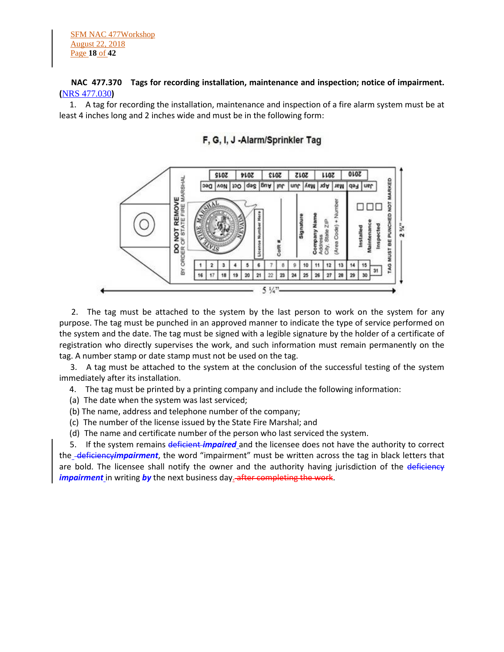# **NAC 477.370 Tags for recording installation, maintenance and inspection; notice of impairment. (**[NRS 477.030](https://www.leg.state.nv.us/NRS/NRS-477.html#NRS477Sec030)**)**

 1. A tag for recording the installation, maintenance and inspection of a fire alarm system must be at least 4 inches long and 2 inches wide and must be in the following form:



# F, G, I, J -Alarm/Sprinkler Tag

 2. The tag must be attached to the system by the last person to work on the system for any purpose. The tag must be punched in an approved manner to indicate the type of service performed on the system and the date. The tag must be signed with a legible signature by the holder of a certificate of registration who directly supervises the work, and such information must remain permanently on the tag. A number stamp or date stamp must not be used on the tag.

 3. A tag must be attached to the system at the conclusion of the successful testing of the system immediately after its installation.

4. The tag must be printed by a printing company and include the following information:

- (a) The date when the system was last serviced;
- (b) The name, address and telephone number of the company;
- (c) The number of the license issued by the State Fire Marshal; and
- (d) The name and certificate number of the person who last serviced the system.

 5. If the system remains deficient *impaired* and the licensee does not have the authority to correct the<sub>-</sub>deficiencyimpairment, the word "impairment" must be written across the tag in black letters that are bold. The licensee shall notify the owner and the authority having jurisdiction of the deficiency *impairment* in writing by the next business day. after completing the work.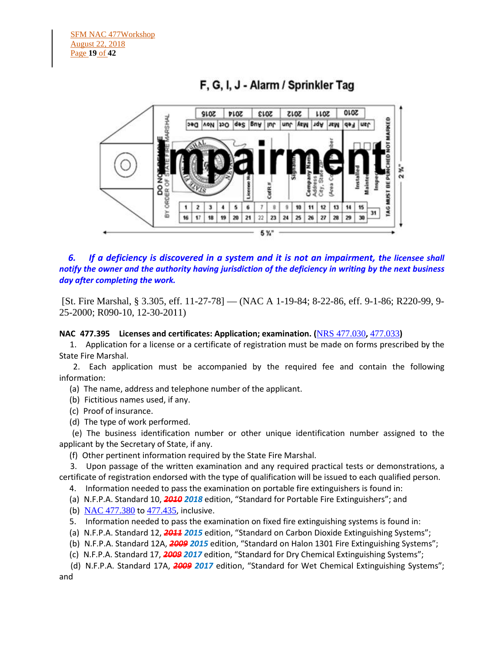

# F, G, I, J - Alarm / Sprinkler Tag

 *6. If a deficiency is discovered in a system and it is not an impairment, the licensee shall notify the owner and the authority having jurisdiction of the deficiency in writing by the next business day after completing the work.*

[St. Fire Marshal, § 3.305, eff. 11-27-78] — (NAC A 1-19-84; 8-22-86, eff. 9-1-86; R220-99, 9- 25-2000; R090-10, 12-30-2011)

**NAC 477.395 Licenses and certificates: Application; examination. (**[NRS 477.030](https://www.leg.state.nv.us/NRS/NRS-477.html#NRS477Sec030)**,** [477.033](https://www.leg.state.nv.us/NRS/NRS-477.html#NRS477Sec033)**)**

 1. Application for a license or a certificate of registration must be made on forms prescribed by the State Fire Marshal.

 2. Each application must be accompanied by the required fee and contain the following information:

(a) The name, address and telephone number of the applicant.

- (b) Fictitious names used, if any.
- (c) Proof of insurance.
- (d) The type of work performed.

 (e) The business identification number or other unique identification number assigned to the applicant by the Secretary of State, if any.

(f) Other pertinent information required by the State Fire Marshal.

 3. Upon passage of the written examination and any required practical tests or demonstrations, a certificate of registration endorsed with the type of qualification will be issued to each qualified person.

4. Information needed to pass the examination on portable fire extinguishers is found in:

- (a) N.F.P.A. Standard 10, *2010 2018* edition, "Standard for Portable Fire Extinguishers"; and
- (b) [NAC 477.380](https://www.leg.state.nv.us/NAC/NAC-477.html#NAC477Sec380) to [477.435](https://www.leg.state.nv.us/NAC/NAC-477.html#NAC477Sec435), inclusive.
- 5. Information needed to pass the examination on fixed fire extinguishing systems is found in:
- (a) N.F.P.A. Standard 12, *2011 2015* edition, "Standard on Carbon Dioxide Extinguishing Systems";
- (b) N.F.P.A. Standard 12A, *2009 2015* edition, "Standard on Halon 1301 Fire Extinguishing Systems";
- (c) N.F.P.A. Standard 17, *2009 2017* edition, "Standard for Dry Chemical Extinguishing Systems";

 (d) N.F.P.A. Standard 17A, *2009 2017* edition, "Standard for Wet Chemical Extinguishing Systems"; and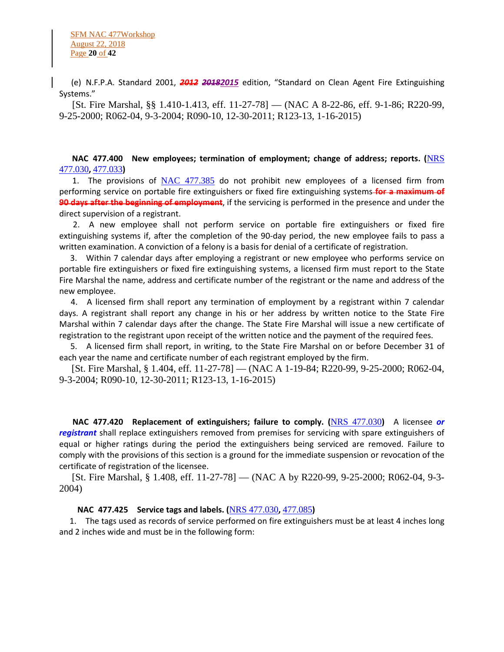(e) N.F.P.A. Standard 2001, *2012 20182015* edition, "Standard on Clean Agent Fire Extinguishing Systems."

 [St. Fire Marshal, §§ 1.410-1.413, eff. 11-27-78] — (NAC A 8-22-86, eff. 9-1-86; R220-99, 9-25-2000; R062-04, 9-3-2004; R090-10, 12-30-2011; R123-13, 1-16-2015)

 **NAC 477.400 New employees; termination of employment; change of address; reports. (**[NRS](https://www.leg.state.nv.us/NRS/NRS-477.html#NRS477Sec030)  [477.030](https://www.leg.state.nv.us/NRS/NRS-477.html#NRS477Sec030)**,** [477.033](https://www.leg.state.nv.us/NRS/NRS-477.html#NRS477Sec033)**)**

1. The provisions of  $NAC$  477.385 do not prohibit new employees of a licensed firm from performing service on portable fire extinguishers or fixed fire extinguishing systems **for a maximum of 90 days after the beginning of employment**, if the servicing is performed in the presence and under the direct supervision of a registrant.

 2. A new employee shall not perform service on portable fire extinguishers or fixed fire extinguishing systems if, after the completion of the 90-day period, the new employee fails to pass a written examination. A conviction of a felony is a basis for denial of a certificate of registration.

 3. Within 7 calendar days after employing a registrant or new employee who performs service on portable fire extinguishers or fixed fire extinguishing systems, a licensed firm must report to the State Fire Marshal the name, address and certificate number of the registrant or the name and address of the new employee.

 4. A licensed firm shall report any termination of employment by a registrant within 7 calendar days. A registrant shall report any change in his or her address by written notice to the State Fire Marshal within 7 calendar days after the change. The State Fire Marshal will issue a new certificate of registration to the registrant upon receipt of the written notice and the payment of the required fees.

 5. A licensed firm shall report, in writing, to the State Fire Marshal on or before December 31 of each year the name and certificate number of each registrant employed by the firm.

 [St. Fire Marshal, § 1.404, eff. 11-27-78] — (NAC A 1-19-84; R220-99, 9-25-2000; R062-04, 9-3-2004; R090-10, 12-30-2011; R123-13, 1-16-2015)

 **NAC 477.420 Replacement of extinguishers; failure to comply. (**[NRS 477.030](https://www.leg.state.nv.us/NRS/NRS-477.html#NRS477Sec030)**)** A licensee *or registrant* shall replace extinguishers removed from premises for servicing with spare extinguishers of equal or higher ratings during the period the extinguishers being serviced are removed. Failure to comply with the provisions of this section is a ground for the immediate suspension or revocation of the certificate of registration of the licensee.

 [St. Fire Marshal, § 1.408, eff. 11-27-78] — (NAC A by R220-99, 9-25-2000; R062-04, 9-3- 2004)

### **NAC 477.425 Service tags and labels. (**[NRS 477.030](https://www.leg.state.nv.us/NRS/NRS-477.html#NRS477Sec030)**,** [477.085](https://www.leg.state.nv.us/NRS/NRS-477.html#NRS477Sec085)**)**

 1. The tags used as records of service performed on fire extinguishers must be at least 4 inches long and 2 inches wide and must be in the following form: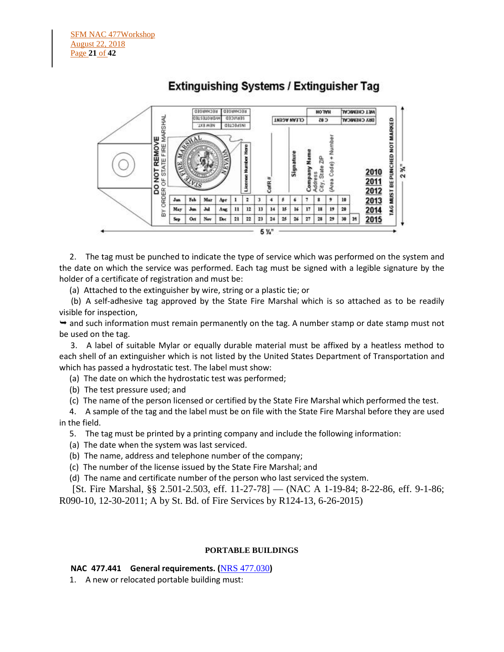

# **Extinguishing Systems / Extinguisher Tag**

 2. The tag must be punched to indicate the type of service which was performed on the system and the date on which the service was performed. Each tag must be signed with a legible signature by the holder of a certificate of registration and must be:

(a) Attached to the extinguisher by wire, string or a plastic tie; or

 (b) A self-adhesive tag approved by the State Fire Marshal which is so attached as to be readily visible for inspection,

 $\rightarrow$  and such information must remain permanently on the tag. A number stamp or date stamp must not be used on the tag.

 3. A label of suitable Mylar or equally durable material must be affixed by a heatless method to each shell of an extinguisher which is not listed by the United States Department of Transportation and which has passed a hydrostatic test. The label must show:

(a) The date on which the hydrostatic test was performed;

(b) The test pressure used; and

(c) The name of the person licensed or certified by the State Fire Marshal which performed the test.

 4. A sample of the tag and the label must be on file with the State Fire Marshal before they are used in the field.

5. The tag must be printed by a printing company and include the following information:

- (a) The date when the system was last serviced.
- (b) The name, address and telephone number of the company;
- (c) The number of the license issued by the State Fire Marshal; and
- (d) The name and certificate number of the person who last serviced the system.

 [St. Fire Marshal, §§ 2.501-2.503, eff. 11-27-78] — (NAC A 1-19-84; 8-22-86, eff. 9-1-86; R090-10, 12-30-2011; A by St. Bd. of Fire Services by R124-13, 6-26-2015)

### **PORTABLE BUILDINGS**

# **NAC 477.441 General requirements. (**[NRS 477.030](https://www.leg.state.nv.us/NRS/NRS-477.html#NRS477Sec030)**)**

1. A new or relocated portable building must: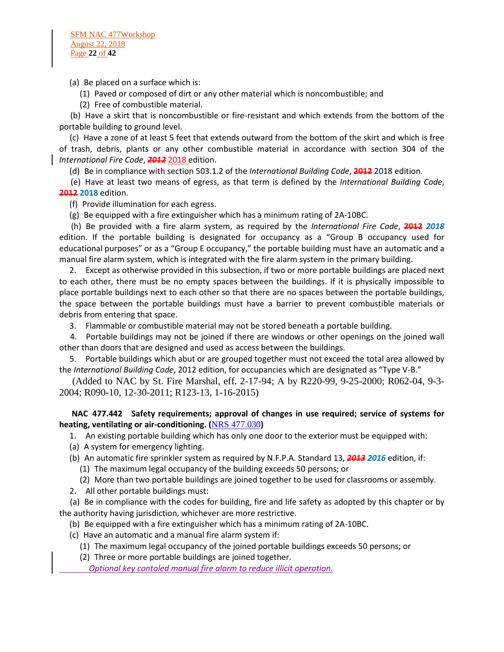(a) Be placed on a surface which is:

- (1) Paved or composed of dirt or any other material which is noncombustible; and
- (2) Free of combustible material.

 (b) Have a skirt that is noncombustible or fire-resistant and which extends from the bottom of the portable building to ground level.

 (c) Have a zone of at least 5 feet that extends outward from the bottom of the skirt and which is free of trash, debris, plants or any other combustible material in accordance with section 304 of the *International Fire Code*, *2012* 2018 edition.

(d) Be in compliance with section 503.1.2 of the *International Building Code*, **2012** 2018 edition.

 (e) Have at least two means of egress, as that term is defined by the *International Building Code*, **2012 2018** edition.

(f) Provide illumination for each egress.

(g) Be equipped with a fire extinguisher which has a minimum rating of 2A-10BC.

 (h) Be provided with a fire alarm system, as required by the *International Fire Code*, **2012** *2018* edition. If the portable building is designated for occupancy as a "Group B occupancy used for educational purposes" or as a "Group E occupancy," the portable building must have an automatic and a manual fire alarm system, which is integrated with the fire alarm system in the primary building.

 2. Except as otherwise provided in this subsection, if two or more portable buildings are placed next to each other, there must be no empty spaces between the buildings. If it is physically impossible to place portable buildings next to each other so that there are no spaces between the portable buildings, the space between the portable buildings must have a barrier to prevent combustible materials or debris from entering that space.

3. Flammable or combustible material may not be stored beneath a portable building.

 4. Portable buildings may not be joined if there are windows or other openings on the joined wall other than doors that are designed and used as access between the buildings.

 5. Portable buildings which abut or are grouped together must not exceed the total area allowed by the *International Building Code*, 2012 edition, for occupancies which are designated as "Type V-B."

 (Added to NAC by St. Fire Marshal, eff. 2-17-94; A by R220-99, 9-25-2000; R062-04, 9-3- 2004; R090-10, 12-30-2011; R123-13, 1-16-2015)

# **NAC 477.442 Safety requirements; approval of changes in use required; service of systems for heating, ventilating or air-conditioning. (**[NRS 477.030](https://www.leg.state.nv.us/NRS/NRS-477.html#NRS477Sec030)**)**

1. An existing portable building which has only one door to the exterior must be equipped with:

- (a) A system for emergency lighting.
- (b) An automatic fire sprinkler system as required by N.F.P.A. Standard 13, *2013 2016* edition, if:

(1) The maximum legal occupancy of the building exceeds 50 persons; or

- (2) More than two portable buildings are joined together to be used for classrooms or assembly.
- 2. All other portable buildings must:

 (a) Be in compliance with the codes for building, fire and life safety as adopted by this chapter or by the authority having jurisdiction, whichever are more restrictive.

(b) Be equipped with a fire extinguisher which has a minimum rating of 2A-10BC.

- (c) Have an automatic and a manual fire alarm system if:
	- (1) The maximum legal occupancy of the joined portable buildings exceeds 50 persons; or
	- (2) Three or more portable buildings are joined together.

*Optional key contoled manual fire alarm to reduce illicit operation.*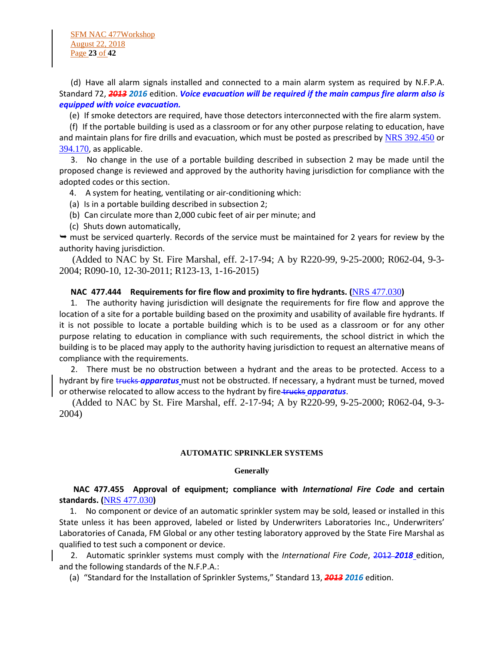SFM NAC 477Workshop August 22, 2018 Page **23** of **42**

 (d) Have all alarm signals installed and connected to a main alarm system as required by N.F.P.A. Standard 72, *2013 2016* edition. *Voice evacuation will be required if the main campus fire alarm also is equipped with voice evacuation.*

(e) If smoke detectors are required, have those detectors interconnected with the fire alarm system.

 (f) If the portable building is used as a classroom or for any other purpose relating to education, have and maintain plans for fire drills and evacuation, which must be posted as prescribed by [NRS 392.450](https://www.leg.state.nv.us/NRS/NRS-392.html#NRS392Sec450) or [394.170](https://www.leg.state.nv.us/NRS/NRS-394.html#NRS394Sec170), as applicable.

 3. No change in the use of a portable building described in subsection 2 may be made until the proposed change is reviewed and approved by the authority having jurisdiction for compliance with the adopted codes or this section.

4. A system for heating, ventilating or air-conditioning which:

(a) Is in a portable building described in subsection 2;

- (b) Can circulate more than 2,000 cubic feet of air per minute; and
- (c) Shuts down automatically,

 $\rightarrow$  must be serviced quarterly. Records of the service must be maintained for 2 years for review by the authority having jurisdiction.

 (Added to NAC by St. Fire Marshal, eff. 2-17-94; A by R220-99, 9-25-2000; R062-04, 9-3- 2004; R090-10, 12-30-2011; R123-13, 1-16-2015)

#### **NAC 477.444 Requirements for fire flow and proximity to fire hydrants. (**[NRS 477.030](https://www.leg.state.nv.us/NRS/NRS-477.html#NRS477Sec030)**)**

 1. The authority having jurisdiction will designate the requirements for fire flow and approve the location of a site for a portable building based on the proximity and usability of available fire hydrants. If it is not possible to locate a portable building which is to be used as a classroom or for any other purpose relating to education in compliance with such requirements, the school district in which the building is to be placed may apply to the authority having jurisdiction to request an alternative means of compliance with the requirements.

 2. There must be no obstruction between a hydrant and the areas to be protected. Access to a hydrant by fire trucks *apparatus* must not be obstructed. If necessary, a hydrant must be turned, moved or otherwise relocated to allow access to the hydrant by fire-trucks *apparatus*.

 (Added to NAC by St. Fire Marshal, eff. 2-17-94; A by R220-99, 9-25-2000; R062-04, 9-3- 2004)

#### **AUTOMATIC SPRINKLER SYSTEMS**

#### **Generally**

### **NAC 477.455 Approval of equipment; compliance with** *International Fire Code* **and certain standards. (**[NRS 477.030](https://www.leg.state.nv.us/NRS/NRS-477.html#NRS477Sec030)**)**

 1. No component or device of an automatic sprinkler system may be sold, leased or installed in this State unless it has been approved, labeled or listed by Underwriters Laboratories Inc., Underwriters' Laboratories of Canada, FM Global or any other testing laboratory approved by the State Fire Marshal as qualified to test such a component or device.

 2. Automatic sprinkler systems must comply with the *International Fire Code*, 2012 *2018* edition, and the following standards of the N.F.P.A.:

(a) "Standard for the Installation of Sprinkler Systems," Standard 13, *2013 2016* edition.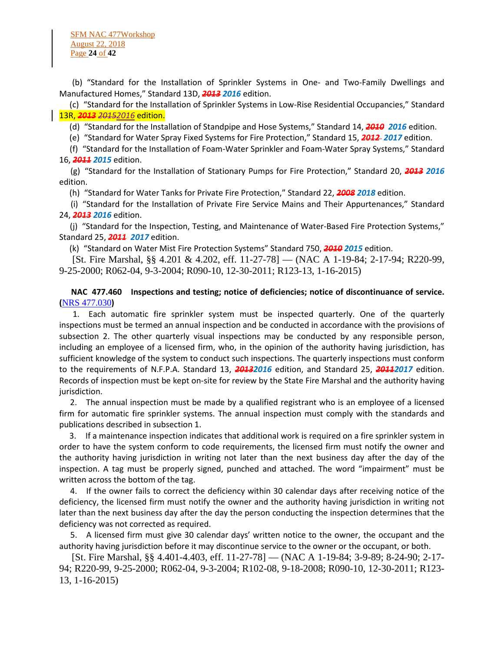SFM NAC 477Workshop August 22, 2018 Page **24** of **42**

 (b) "Standard for the Installation of Sprinkler Systems in One- and Two-Family Dwellings and Manufactured Homes," Standard 13D, *2013 2016* edition.

 (c) "Standard for the Installation of Sprinkler Systems in Low-Rise Residential Occupancies," Standard 13R, *2013 20152016* edition.

(d) "Standard for the Installation of Standpipe and Hose Systems," Standard 14, *2010 2016* edition.

(e) "Standard for Water Spray Fixed Systems for Fire Protection," Standard 15, *2012 2017* edition.

 (f) "Standard for the Installation of Foam-Water Sprinkler and Foam-Water Spray Systems," Standard 16, *2011 2015* edition.

 (g) "Standard for the Installation of Stationary Pumps for Fire Protection," Standard 20, *2013 2016* edition.

(h) "Standard for Water Tanks for Private Fire Protection," Standard 22, *2008 2018* edition.

 (i) "Standard for the Installation of Private Fire Service Mains and Their Appurtenances," Standard 24, *2013 2016* edition.

 (j) "Standard for the Inspection, Testing, and Maintenance of Water-Based Fire Protection Systems," Standard 25, *2011 2017* edition.

(k) "Standard on Water Mist Fire Protection Systems" Standard 750, *2010 2015* edition.

 [St. Fire Marshal, §§ 4.201 & 4.202, eff. 11-27-78] — (NAC A 1-19-84; 2-17-94; R220-99, 9-25-2000; R062-04, 9-3-2004; R090-10, 12-30-2011; R123-13, 1-16-2015)

 **NAC 477.460 Inspections and testing; notice of deficiencies; notice of discontinuance of service. (**[NRS 477.030](https://www.leg.state.nv.us/NRS/NRS-477.html#NRS477Sec030)**)**

 1. Each automatic fire sprinkler system must be inspected quarterly. One of the quarterly inspections must be termed an annual inspection and be conducted in accordance with the provisions of subsection 2. The other quarterly visual inspections may be conducted by any responsible person, including an employee of a licensed firm, who, in the opinion of the authority having jurisdiction, has sufficient knowledge of the system to conduct such inspections. The quarterly inspections must conform to the requirements of N.F.P.A. Standard 13, *20132016* edition, and Standard 25, *20112017* edition. Records of inspection must be kept on-site for review by the State Fire Marshal and the authority having jurisdiction.

 2. The annual inspection must be made by a qualified registrant who is an employee of a licensed firm for automatic fire sprinkler systems. The annual inspection must comply with the standards and publications described in subsection 1.

 3. If a maintenance inspection indicates that additional work is required on a fire sprinkler system in order to have the system conform to code requirements, the licensed firm must notify the owner and the authority having jurisdiction in writing not later than the next business day after the day of the inspection. A tag must be properly signed, punched and attached. The word "impairment" must be written across the bottom of the tag.

 4. If the owner fails to correct the deficiency within 30 calendar days after receiving notice of the deficiency, the licensed firm must notify the owner and the authority having jurisdiction in writing not later than the next business day after the day the person conducting the inspection determines that the deficiency was not corrected as required.

 5. A licensed firm must give 30 calendar days' written notice to the owner, the occupant and the authority having jurisdiction before it may discontinue service to the owner or the occupant, or both.

 [St. Fire Marshal, §§ 4.401-4.403, eff. 11-27-78] — (NAC A 1-19-84; 3-9-89; 8-24-90; 2-17- 94; R220-99, 9-25-2000; R062-04, 9-3-2004; R102-08, 9-18-2008; R090-10, 12-30-2011; R123- 13, 1-16-2015)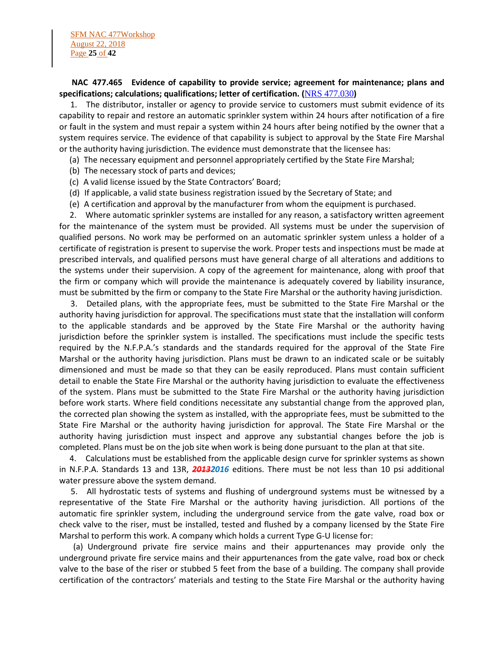### **NAC 477.465 Evidence of capability to provide service; agreement for maintenance; plans and specifications; calculations; qualifications; letter of certification. (**[NRS 477.030](https://www.leg.state.nv.us/NRS/NRS-477.html#NRS477Sec030)**)**

 1. The distributor, installer or agency to provide service to customers must submit evidence of its capability to repair and restore an automatic sprinkler system within 24 hours after notification of a fire or fault in the system and must repair a system within 24 hours after being notified by the owner that a system requires service. The evidence of that capability is subject to approval by the State Fire Marshal or the authority having jurisdiction. The evidence must demonstrate that the licensee has:

- (a) The necessary equipment and personnel appropriately certified by the State Fire Marshal;
- (b) The necessary stock of parts and devices;
- (c) A valid license issued by the State Contractors' Board;
- (d) If applicable, a valid state business registration issued by the Secretary of State; and
- (e) A certification and approval by the manufacturer from whom the equipment is purchased.

 2. Where automatic sprinkler systems are installed for any reason, a satisfactory written agreement for the maintenance of the system must be provided. All systems must be under the supervision of qualified persons. No work may be performed on an automatic sprinkler system unless a holder of a certificate of registration is present to supervise the work. Proper tests and inspections must be made at prescribed intervals, and qualified persons must have general charge of all alterations and additions to the systems under their supervision. A copy of the agreement for maintenance, along with proof that the firm or company which will provide the maintenance is adequately covered by liability insurance, must be submitted by the firm or company to the State Fire Marshal or the authority having jurisdiction.

 3. Detailed plans, with the appropriate fees, must be submitted to the State Fire Marshal or the authority having jurisdiction for approval. The specifications must state that the installation will conform to the applicable standards and be approved by the State Fire Marshal or the authority having jurisdiction before the sprinkler system is installed. The specifications must include the specific tests required by the N.F.P.A.'s standards and the standards required for the approval of the State Fire Marshal or the authority having jurisdiction. Plans must be drawn to an indicated scale or be suitably dimensioned and must be made so that they can be easily reproduced. Plans must contain sufficient detail to enable the State Fire Marshal or the authority having jurisdiction to evaluate the effectiveness of the system. Plans must be submitted to the State Fire Marshal or the authority having jurisdiction before work starts. Where field conditions necessitate any substantial change from the approved plan, the corrected plan showing the system as installed, with the appropriate fees, must be submitted to the State Fire Marshal or the authority having jurisdiction for approval. The State Fire Marshal or the authority having jurisdiction must inspect and approve any substantial changes before the job is completed. Plans must be on the job site when work is being done pursuant to the plan at that site.

 4. Calculations must be established from the applicable design curve for sprinkler systems as shown in N.F.P.A. Standards 13 and 13R, *20132016* editions. There must be not less than 10 psi additional water pressure above the system demand.

 5. All hydrostatic tests of systems and flushing of underground systems must be witnessed by a representative of the State Fire Marshal or the authority having jurisdiction. All portions of the automatic fire sprinkler system, including the underground service from the gate valve, road box or check valve to the riser, must be installed, tested and flushed by a company licensed by the State Fire Marshal to perform this work. A company which holds a current Type G-U license for:

 (a) Underground private fire service mains and their appurtenances may provide only the underground private fire service mains and their appurtenances from the gate valve, road box or check valve to the base of the riser or stubbed 5 feet from the base of a building. The company shall provide certification of the contractors' materials and testing to the State Fire Marshal or the authority having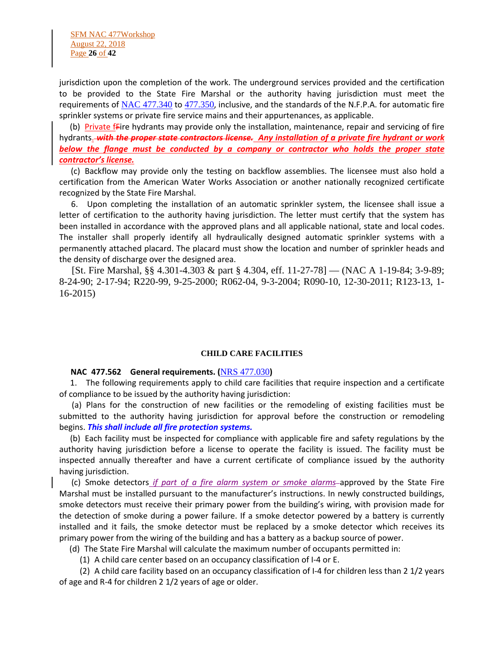SFM NAC 477Workshop August 22, 2018 Page **26** of **42**

jurisdiction upon the completion of the work. The underground services provided and the certification to be provided to the State Fire Marshal or the authority having jurisdiction must meet the requirements of [NAC 477.340](https://www.leg.state.nv.us/NAC/NAC-477.html#NAC477Sec340) to [477.350](https://www.leg.state.nv.us/NAC/NAC-477.html#NAC477Sec350), inclusive, and the standards of the N.F.P.A. for automatic fire sprinkler systems or private fire service mains and their appurtenances, as applicable.

(b) Private *f*Fire hydrants may provide only the installation, maintenance, repair and servicing of fire hydrants. with the proper state contractors license. Any installation of a private fire hydrant or work *below the flange must be conducted by a company or contractor who holds the proper state contractor's license.*

 (c) Backflow may provide only the testing on backflow assemblies. The licensee must also hold a certification from the American Water Works Association or another nationally recognized certificate recognized by the State Fire Marshal.

 6. Upon completing the installation of an automatic sprinkler system, the licensee shall issue a letter of certification to the authority having jurisdiction. The letter must certify that the system has been installed in accordance with the approved plans and all applicable national, state and local codes. The installer shall properly identify all hydraulically designed automatic sprinkler systems with a permanently attached placard. The placard must show the location and number of sprinkler heads and the density of discharge over the designed area.

 [St. Fire Marshal, §§ 4.301-4.303 & part § 4.304, eff. 11-27-78] — (NAC A 1-19-84; 3-9-89; 8-24-90; 2-17-94; R220-99, 9-25-2000; R062-04, 9-3-2004; R090-10, 12-30-2011; R123-13, 1- 16-2015)

#### **CHILD CARE FACILITIES**

#### **NAC 477.562 General requirements. (**[NRS 477.030](https://www.leg.state.nv.us/NRS/NRS-477.html#NRS477Sec030)**)**

 1. The following requirements apply to child care facilities that require inspection and a certificate of compliance to be issued by the authority having jurisdiction:

 (a) Plans for the construction of new facilities or the remodeling of existing facilities must be submitted to the authority having jurisdiction for approval before the construction or remodeling begins. *This shall include all fire protection systems.*

 (b) Each facility must be inspected for compliance with applicable fire and safety regulations by the authority having jurisdiction before a license to operate the facility is issued. The facility must be inspected annually thereafter and have a current certificate of compliance issued by the authority having jurisdiction.

 (c) Smoke detectors *if part of a fire alarm system or smoke alarms* approved by the State Fire Marshal must be installed pursuant to the manufacturer's instructions. In newly constructed buildings, smoke detectors must receive their primary power from the building's wiring, with provision made for the detection of smoke during a power failure. If a smoke detector powered by a battery is currently installed and it fails, the smoke detector must be replaced by a smoke detector which receives its primary power from the wiring of the building and has a battery as a backup source of power.

(d) The State Fire Marshal will calculate the maximum number of occupants permitted in:

(1) A child care center based on an occupancy classification of I-4 or E.

 (2) A child care facility based on an occupancy classification of I-4 for children less than 2 1/2 years of age and R-4 for children 2 1/2 years of age or older.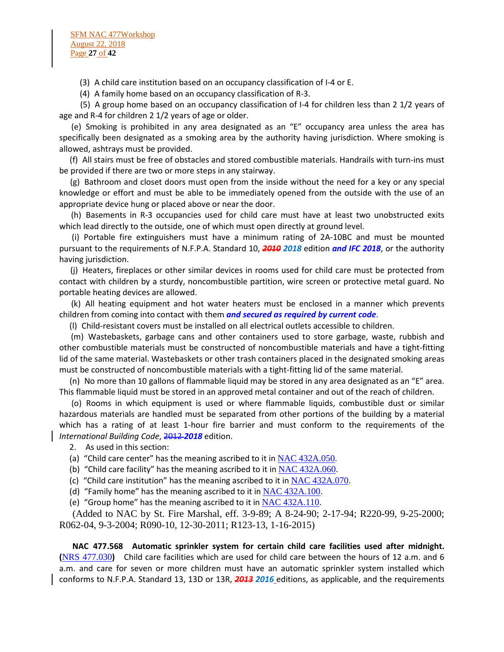(3) A child care institution based on an occupancy classification of I-4 or E.

(4) A family home based on an occupancy classification of R-3.

 (5) A group home based on an occupancy classification of I-4 for children less than 2 1/2 years of age and R-4 for children 2 1/2 years of age or older.

 (e) Smoking is prohibited in any area designated as an "E" occupancy area unless the area has specifically been designated as a smoking area by the authority having jurisdiction. Where smoking is allowed, ashtrays must be provided.

 (f) All stairs must be free of obstacles and stored combustible materials. Handrails with turn-ins must be provided if there are two or more steps in any stairway.

 (g) Bathroom and closet doors must open from the inside without the need for a key or any special knowledge or effort and must be able to be immediately opened from the outside with the use of an appropriate device hung or placed above or near the door.

 (h) Basements in R-3 occupancies used for child care must have at least two unobstructed exits which lead directly to the outside, one of which must open directly at ground level.

 (i) Portable fire extinguishers must have a minimum rating of 2A-10BC and must be mounted pursuant to the requirements of N.F.P.A. Standard 10, *2010 2018* edition *and IFC 2018*, or the authority having jurisdiction.

 (j) Heaters, fireplaces or other similar devices in rooms used for child care must be protected from contact with children by a sturdy, noncombustible partition, wire screen or protective metal guard. No portable heating devices are allowed.

 (k) All heating equipment and hot water heaters must be enclosed in a manner which prevents children from coming into contact with them *and secured as required by current code*.

(l) Child-resistant covers must be installed on all electrical outlets accessible to children.

 (m) Wastebaskets, garbage cans and other containers used to store garbage, waste, rubbish and other combustible materials must be constructed of noncombustible materials and have a tight-fitting lid of the same material. Wastebaskets or other trash containers placed in the designated smoking areas must be constructed of noncombustible materials with a tight-fitting lid of the same material.

 (n) No more than 10 gallons of flammable liquid may be stored in any area designated as an "E" area. This flammable liquid must be stored in an approved metal container and out of the reach of children.

 (o) Rooms in which equipment is used or where flammable liquids, combustible dust or similar hazardous materials are handled must be separated from other portions of the building by a material which has a rating of at least 1-hour fire barrier and must conform to the requirements of the *International Building Code*, 2012 *2018* edition.

2. As used in this section:

(a) "Child care center" has the meaning ascribed to it in [NAC 432A.050](https://www.leg.state.nv.us/NAC/NAC-432A.html#NAC432ASec050).

- (b) "Child care facility" has the meaning ascribed to it in  $NAC$  432A.060.
- (c) "Child care institution" has the meaning ascribed to it in  $NAC$  432A.070.
- (d) "Family home" has the meaning ascribed to it in  $NAC$  432A.100.
- (e) "Group home" has the meaning ascribed to it in  $NAC$  432A.110.

 (Added to NAC by St. Fire Marshal, eff. 3-9-89; A 8-24-90; 2-17-94; R220-99, 9-25-2000; R062-04, 9-3-2004; R090-10, 12-30-2011; R123-13, 1-16-2015)

 **NAC 477.568 Automatic sprinkler system for certain child care facilities used after midnight. (**[NRS 477.030](https://www.leg.state.nv.us/NRS/NRS-477.html#NRS477Sec030)**)** Child care facilities which are used for child care between the hours of 12 a.m. and 6 a.m. and care for seven or more children must have an automatic sprinkler system installed which conforms to N.F.P.A. Standard 13, 13D or 13R, *2013 2016* editions, as applicable, and the requirements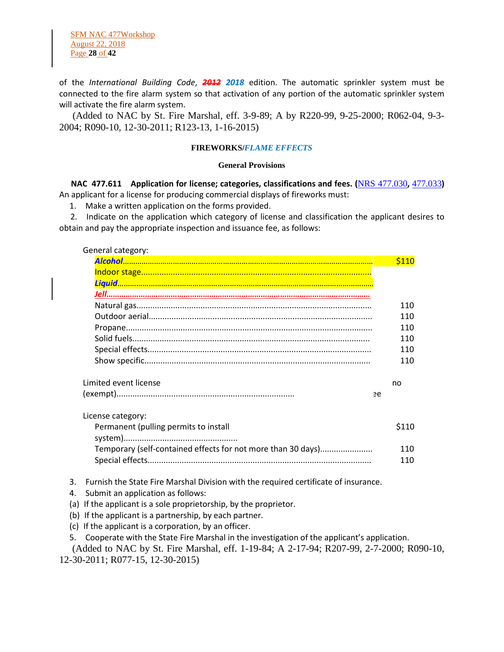SFM NAC 477Workshop August 22, 2018 Page **28** of **42**

of the *International Building Code*, *2012 2018* edition. The automatic sprinkler system must be connected to the fire alarm system so that activation of any portion of the automatic sprinkler system will activate the fire alarm system.

 (Added to NAC by St. Fire Marshal, eff. 3-9-89; A by R220-99, 9-25-2000; R062-04, 9-3- 2004; R090-10, 12-30-2011; R123-13, 1-16-2015)

#### **FIREWORKS/***FLAME EFFECTS*

#### **General Provisions**

 **NAC 477.611 Application for license; categories, classifications and fees. (**[NRS 477.030](https://www.leg.state.nv.us/NRS/NRS-477.html#NRS477Sec030)**,** [477.033](https://www.leg.state.nv.us/NRS/NRS-477.html#NRS477Sec033)**)** An applicant for a license for producing commercial displays of fireworks must:

1. Make a written application on the forms provided.

 2. Indicate on the application which category of license and classification the applicant desires to obtain and pay the appropriate inspection and issuance fee, as follows:

#### General category:

| 110<br>110<br>110<br>110<br>110<br>110 |
|----------------------------------------|
|                                        |
|                                        |
|                                        |
|                                        |
|                                        |
|                                        |
|                                        |
|                                        |
|                                        |
| no                                     |
|                                        |
|                                        |
| \$110                                  |
|                                        |
| 110                                    |
| 110                                    |
|                                        |

- 3. Furnish the State Fire Marshal Division with the required certificate of insurance.
- 4. Submit an application as follows:
- (a) If the applicant is a sole proprietorship, by the proprietor.
- (b) If the applicant is a partnership, by each partner.
- (c) If the applicant is a corporation, by an officer.
- 5. Cooperate with the State Fire Marshal in the investigation of the applicant's application.

 (Added to NAC by St. Fire Marshal, eff. 1-19-84; A 2-17-94; R207-99, 2-7-2000; R090-10, 12-30-2011; R077-15, 12-30-2015)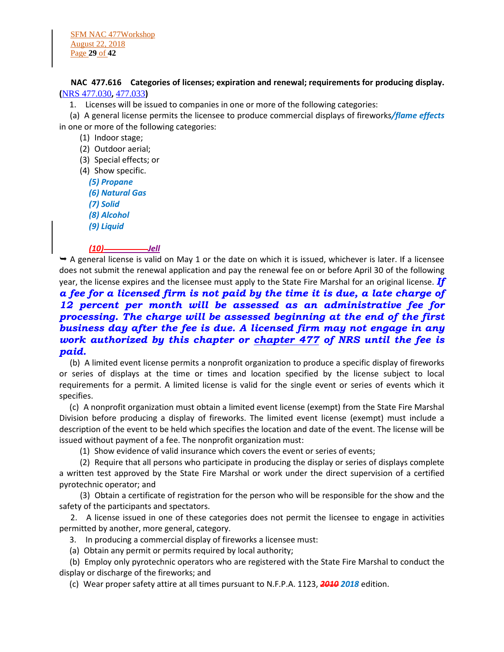**NAC 477.616 Categories of licenses; expiration and renewal; requirements for producing display. (**[NRS 477.030](https://www.leg.state.nv.us/NRS/NRS-477.html#NRS477Sec030)**,** [477.033](https://www.leg.state.nv.us/NRS/NRS-477.html#NRS477Sec033)**)**

1. Licenses will be issued to companies in one or more of the following categories:

 (a) A general license permits the licensee to produce commercial displays of fireworks*/flame effects* in one or more of the following categories:

(1) Indoor stage;

(2) Outdoor aerial;

(3) Special effects; or

(4) Show specific.

*(5) Propane*

*(6) Natural Gas*

*(7) Solid*

*(8) Alcohol*

*(9) Liquid*

# *(10) Jell*

 $\rightarrow$  A general license is valid on May 1 or the date on which it is issued, whichever is later. If a licensee does not submit the renewal application and pay the renewal fee on or before April 30 of the following year, the license expires and the licensee must apply to the State Fire Marshal for an original license. *If* 

# *a fee for a licensed firm is not paid by the time it is due, a late charge of 12 percent per month will be assessed as an administrative fee for processing. The charge will be assessed beginning at the end of the first business day after the fee is due. A licensed firm may not engage in any work authorized by this chapter or [chapter 477](https://www.leg.state.nv.us/NRS/NRS-477.html#NRS477) of NRS until the fee is paid.*

 (b) A limited event license permits a nonprofit organization to produce a specific display of fireworks or series of displays at the time or times and location specified by the license subject to local requirements for a permit. A limited license is valid for the single event or series of events which it specifies.

 (c) A nonprofit organization must obtain a limited event license (exempt) from the State Fire Marshal Division before producing a display of fireworks. The limited event license (exempt) must include a description of the event to be held which specifies the location and date of the event. The license will be issued without payment of a fee. The nonprofit organization must:

(1) Show evidence of valid insurance which covers the event or series of events;

 (2) Require that all persons who participate in producing the display or series of displays complete a written test approved by the State Fire Marshal or work under the direct supervision of a certified pyrotechnic operator; and

 (3) Obtain a certificate of registration for the person who will be responsible for the show and the safety of the participants and spectators.

 2. A license issued in one of these categories does not permit the licensee to engage in activities permitted by another, more general, category.

3. In producing a commercial display of fireworks a licensee must:

(a) Obtain any permit or permits required by local authority;

 (b) Employ only pyrotechnic operators who are registered with the State Fire Marshal to conduct the display or discharge of the fireworks; and

(c) Wear proper safety attire at all times pursuant to N.F.P.A. 1123, *2010 2018* edition.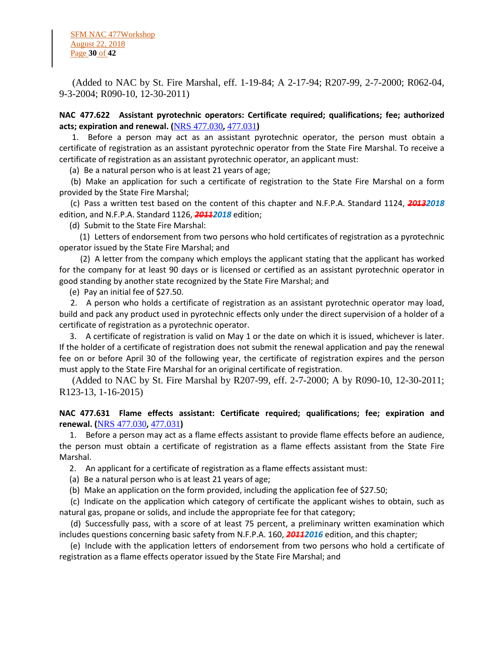SFM NAC 477Workshop August 22, 2018 Page **30** of **42**

 (Added to NAC by St. Fire Marshal, eff. 1-19-84; A 2-17-94; R207-99, 2-7-2000; R062-04, 9-3-2004; R090-10, 12-30-2011)

**NAC 477.622 Assistant pyrotechnic operators: Certificate required; qualifications; fee; authorized acts; expiration and renewal. (**[NRS 477.030](https://www.leg.state.nv.us/NRS/NRS-477.html#NRS477Sec030)**,** [477.031](https://www.leg.state.nv.us/NRS/NRS-477.html#NRS477Sec031)**)**

 1. Before a person may act as an assistant pyrotechnic operator, the person must obtain a certificate of registration as an assistant pyrotechnic operator from the State Fire Marshal. To receive a certificate of registration as an assistant pyrotechnic operator, an applicant must:

(a) Be a natural person who is at least 21 years of age;

 (b) Make an application for such a certificate of registration to the State Fire Marshal on a form provided by the State Fire Marshal;

 (c) Pass a written test based on the content of this chapter and N.F.P.A. Standard 1124, *20132018* edition, and N.F.P.A. Standard 1126, *20112018* edition;

(d) Submit to the State Fire Marshal:

 (1) Letters of endorsement from two persons who hold certificates of registration as a pyrotechnic operator issued by the State Fire Marshal; and

 (2) A letter from the company which employs the applicant stating that the applicant has worked for the company for at least 90 days or is licensed or certified as an assistant pyrotechnic operator in good standing by another state recognized by the State Fire Marshal; and

(e) Pay an initial fee of \$27.50.

 2. A person who holds a certificate of registration as an assistant pyrotechnic operator may load, build and pack any product used in pyrotechnic effects only under the direct supervision of a holder of a certificate of registration as a pyrotechnic operator.

 3. A certificate of registration is valid on May 1 or the date on which it is issued, whichever is later. If the holder of a certificate of registration does not submit the renewal application and pay the renewal fee on or before April 30 of the following year, the certificate of registration expires and the person must apply to the State Fire Marshal for an original certificate of registration.

 (Added to NAC by St. Fire Marshal by R207-99, eff. 2-7-2000; A by R090-10, 12-30-2011; R123-13, 1-16-2015)

# **NAC 477.631 Flame effects assistant: Certificate required; qualifications; fee; expiration and renewal. (**[NRS 477.030](https://www.leg.state.nv.us/NRS/NRS-477.html#NRS477Sec030)**,** [477.031](https://www.leg.state.nv.us/NRS/NRS-477.html#NRS477Sec031)**)**

 1. Before a person may act as a flame effects assistant to provide flame effects before an audience, the person must obtain a certificate of registration as a flame effects assistant from the State Fire Marshal.

2. An applicant for a certificate of registration as a flame effects assistant must:

(a) Be a natural person who is at least 21 years of age;

(b) Make an application on the form provided, including the application fee of \$27.50;

 (c) Indicate on the application which category of certificate the applicant wishes to obtain, such as natural gas, propane or solids, and include the appropriate fee for that category;

 (d) Successfully pass, with a score of at least 75 percent, a preliminary written examination which includes questions concerning basic safety from N.F.P.A. 160, *20112016* edition, and this chapter;

 (e) Include with the application letters of endorsement from two persons who hold a certificate of registration as a flame effects operator issued by the State Fire Marshal; and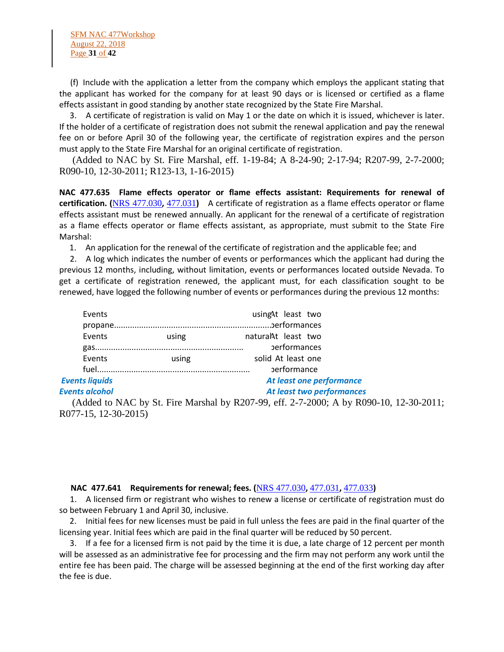(f) Include with the application a letter from the company which employs the applicant stating that the applicant has worked for the company for at least 90 days or is licensed or certified as a flame effects assistant in good standing by another state recognized by the State Fire Marshal.

 3. A certificate of registration is valid on May 1 or the date on which it is issued, whichever is later. If the holder of a certificate of registration does not submit the renewal application and pay the renewal fee on or before April 30 of the following year, the certificate of registration expires and the person must apply to the State Fire Marshal for an original certificate of registration.

 (Added to NAC by St. Fire Marshal, eff. 1-19-84; A 8-24-90; 2-17-94; R207-99, 2-7-2000; R090-10, 12-30-2011; R123-13, 1-16-2015)

**NAC 477.635 Flame effects operator or flame effects assistant: Requirements for renewal of certification. (**[NRS 477.030](https://www.leg.state.nv.us/NRS/NRS-477.html#NRS477Sec030)**,** [477.031](https://www.leg.state.nv.us/NRS/NRS-477.html#NRS477Sec031)**)** A certificate of registration as a flame effects operator or flame effects assistant must be renewed annually. An applicant for the renewal of a certificate of registration as a flame effects operator or flame effects assistant, as appropriate, must submit to the State Fire Marshal:

1. An application for the renewal of the certificate of registration and the applicable fee; and

 2. A log which indicates the number of events or performances which the applicant had during the previous 12 months, including, without limitation, events or performances located outside Nevada. To get a certificate of registration renewed, the applicant must, for each classification sought to be renewed, have logged the following number of events or performances during the previous 12 months:

| Events                |       | usingAt least two         |  |
|-----------------------|-------|---------------------------|--|
|                       |       |                           |  |
| Events                | using | natural At least two      |  |
|                       |       | <b>performances</b>       |  |
| Events                | using | solid At least one        |  |
|                       |       | <b>performance</b>        |  |
| <b>Events liquids</b> |       | At least one performance  |  |
| <b>Events alcohol</b> |       | At least two performances |  |

 (Added to NAC by St. Fire Marshal by R207-99, eff. 2-7-2000; A by R090-10, 12-30-2011; R077-15, 12-30-2015)

### **NAC 477.641 Requirements for renewal; fees. (**[NRS 477.030](https://www.leg.state.nv.us/NRS/NRS-477.html#NRS477Sec030)**,** [477.031](https://www.leg.state.nv.us/NRS/NRS-477.html#NRS477Sec031)**,** [477.033](https://www.leg.state.nv.us/NRS/NRS-477.html#NRS477Sec033)**)**

 1. A licensed firm or registrant who wishes to renew a license or certificate of registration must do so between February 1 and April 30, inclusive.

 2. Initial fees for new licenses must be paid in full unless the fees are paid in the final quarter of the licensing year. Initial fees which are paid in the final quarter will be reduced by 50 percent.

 3. If a fee for a licensed firm is not paid by the time it is due, a late charge of 12 percent per month will be assessed as an administrative fee for processing and the firm may not perform any work until the entire fee has been paid. The charge will be assessed beginning at the end of the first working day after the fee is due.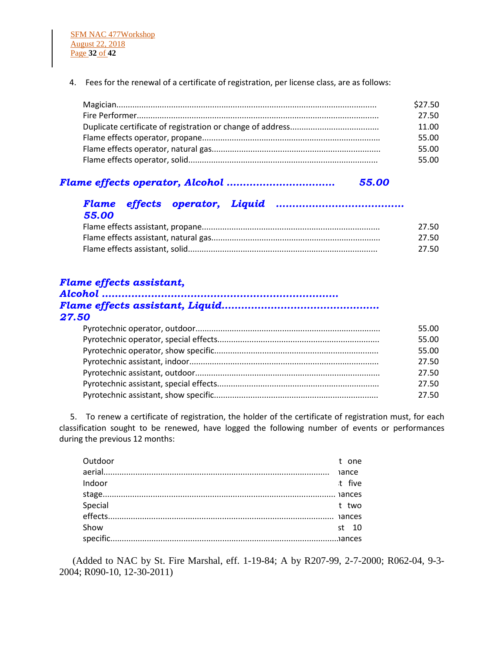4. Fees for the renewal of a certificate of registration, per license class, are as follows:

| \$27.50 |
|---------|
| 27.50   |
| 11.00   |
| 55.00   |
| 55.00   |
| 55.00   |
|         |

# *Flame effects operator, Alcohol …………………………… 55.00*

# *Flame effects operator, Liquid ………………………………… 55.00*

| 27.50 |
|-------|
| 27.50 |
| 27.50 |

# *Flame effects assistant,*

| 27.50 |  |
|-------|--|

| 55.00 |
|-------|
| 55.00 |
| 55.00 |
| 27.50 |
| 27.50 |
| 27.50 |
| 27.50 |

 5. To renew a certificate of registration, the holder of the certificate of registration must, for each classification sought to be renewed, have logged the following number of events or performances during the previous 12 months:

| Outdoor |  | t one  |
|---------|--|--------|
|         |  |        |
| Indoor  |  | t five |
|         |  |        |
|         |  |        |
|         |  |        |
| Show    |  | st 10  |
|         |  |        |

 (Added to NAC by St. Fire Marshal, eff. 1-19-84; A by R207-99, 2-7-2000; R062-04, 9-3- 2004; R090-10, 12-30-2011)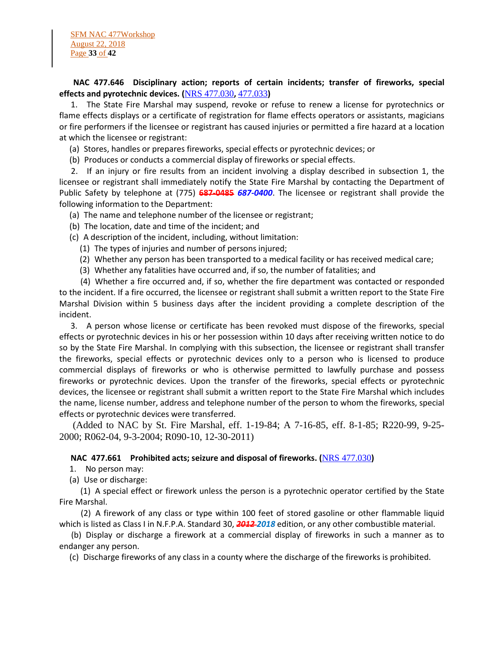# **NAC 477.646 Disciplinary action; reports of certain incidents; transfer of fireworks, special effects and pyrotechnic devices. (**[NRS 477.030](https://www.leg.state.nv.us/NRS/NRS-477.html#NRS477Sec030)**,** [477.033](https://www.leg.state.nv.us/NRS/NRS-477.html#NRS477Sec033)**)**

 1. The State Fire Marshal may suspend, revoke or refuse to renew a license for pyrotechnics or flame effects displays or a certificate of registration for flame effects operators or assistants, magicians or fire performers if the licensee or registrant has caused injuries or permitted a fire hazard at a location at which the licensee or registrant:

(a) Stores, handles or prepares fireworks, special effects or pyrotechnic devices; or

(b) Produces or conducts a commercial display of fireworks or special effects.

 2. If an injury or fire results from an incident involving a display described in subsection 1, the licensee or registrant shall immediately notify the State Fire Marshal by contacting the Department of Public Safety by telephone at (775) **687-0485** *687-0400*. The licensee or registrant shall provide the following information to the Department:

- (a) The name and telephone number of the licensee or registrant;
- (b) The location, date and time of the incident; and
- (c) A description of the incident, including, without limitation:
	- (1) The types of injuries and number of persons injured;
	- (2) Whether any person has been transported to a medical facility or has received medical care;
	- (3) Whether any fatalities have occurred and, if so, the number of fatalities; and

 (4) Whether a fire occurred and, if so, whether the fire department was contacted or responded to the incident. If a fire occurred, the licensee or registrant shall submit a written report to the State Fire Marshal Division within 5 business days after the incident providing a complete description of the incident.

 3. A person whose license or certificate has been revoked must dispose of the fireworks, special effects or pyrotechnic devices in his or her possession within 10 days after receiving written notice to do so by the State Fire Marshal. In complying with this subsection, the licensee or registrant shall transfer the fireworks, special effects or pyrotechnic devices only to a person who is licensed to produce commercial displays of fireworks or who is otherwise permitted to lawfully purchase and possess fireworks or pyrotechnic devices. Upon the transfer of the fireworks, special effects or pyrotechnic devices, the licensee or registrant shall submit a written report to the State Fire Marshal which includes the name, license number, address and telephone number of the person to whom the fireworks, special effects or pyrotechnic devices were transferred.

 (Added to NAC by St. Fire Marshal, eff. 1-19-84; A 7-16-85, eff. 8-1-85; R220-99, 9-25- 2000; R062-04, 9-3-2004; R090-10, 12-30-2011)

### **NAC 477.661 Prohibited acts; seizure and disposal of fireworks. (**[NRS 477.030](https://www.leg.state.nv.us/NRS/NRS-477.html#NRS477Sec030)**)**

- 1. No person may:
- (a) Use or discharge:

 (1) A special effect or firework unless the person is a pyrotechnic operator certified by the State Fire Marshal.

 (2) A firework of any class or type within 100 feet of stored gasoline or other flammable liquid which is listed as Class I in N.F.P.A. Standard 30, *2012 2018* edition, or any other combustible material.

 (b) Display or discharge a firework at a commercial display of fireworks in such a manner as to endanger any person.

(c) Discharge fireworks of any class in a county where the discharge of the fireworks is prohibited.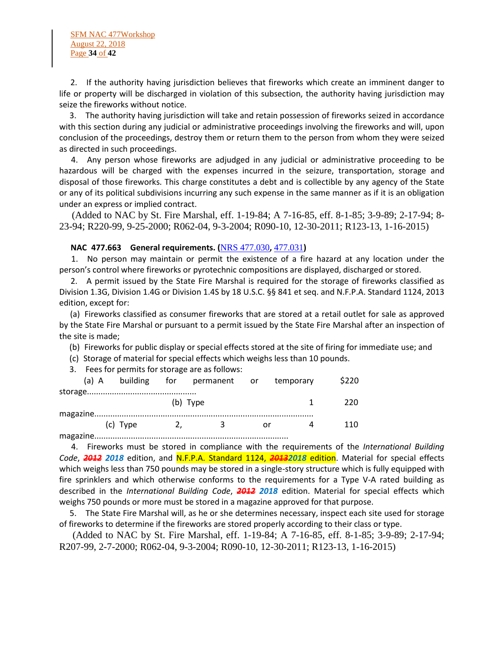2. If the authority having jurisdiction believes that fireworks which create an imminent danger to life or property will be discharged in violation of this subsection, the authority having jurisdiction may seize the fireworks without notice.

 3. The authority having jurisdiction will take and retain possession of fireworks seized in accordance with this section during any judicial or administrative proceedings involving the fireworks and will, upon conclusion of the proceedings, destroy them or return them to the person from whom they were seized as directed in such proceedings.

 4. Any person whose fireworks are adjudged in any judicial or administrative proceeding to be hazardous will be charged with the expenses incurred in the seizure, transportation, storage and disposal of those fireworks. This charge constitutes a debt and is collectible by any agency of the State or any of its political subdivisions incurring any such expense in the same manner as if it is an obligation under an express or implied contract.

 (Added to NAC by St. Fire Marshal, eff. 1-19-84; A 7-16-85, eff. 8-1-85; 3-9-89; 2-17-94; 8- 23-94; R220-99, 9-25-2000; R062-04, 9-3-2004; R090-10, 12-30-2011; R123-13, 1-16-2015)

### **NAC 477.663 General requirements. (**[NRS 477.030](https://www.leg.state.nv.us/NRS/NRS-477.html#NRS477Sec030)**,** [477.031](https://www.leg.state.nv.us/NRS/NRS-477.html#NRS477Sec031)**)**

 1. No person may maintain or permit the existence of a fire hazard at any location under the person's control where fireworks or pyrotechnic compositions are displayed, discharged or stored.

 2. A permit issued by the State Fire Marshal is required for the storage of fireworks classified as Division 1.3G, Division 1.4G or Division 1.4S by 18 U.S.C. §§ 841 et seq. and N.F.P.A. Standard 1124, 2013 edition, except for:

 (a) Fireworks classified as consumer fireworks that are stored at a retail outlet for sale as approved by the State Fire Marshal or pursuant to a permit issued by the State Fire Marshal after an inspection of the site is made;

- (b) Fireworks for public display or special effects stored at the site of firing for immediate use; and
- (c) Storage of material for special effects which weighs less than 10 pounds.
- 3. Fees for permits for storage are as follows:

|  |          |          | (a) A building for permanent or temporary |      | \$220 |
|--|----------|----------|-------------------------------------------|------|-------|
|  |          |          |                                           |      |       |
|  |          | (b) Type |                                           |      | -220  |
|  |          |          |                                           |      |       |
|  | (c) Type |          | 2. 3                                      | or o | -110  |
|  |          |          |                                           |      |       |

 4. Fireworks must be stored in compliance with the requirements of the *International Building Code*, *2012 2018* edition, and N.F.P.A. Standard 1124, *20132018* edition. Material for special effects which weighs less than 750 pounds may be stored in a single-story structure which is fully equipped with fire sprinklers and which otherwise conforms to the requirements for a Type V-A rated building as described in the *International Building Code*, *2012 2018* edition. Material for special effects which weighs 750 pounds or more must be stored in a magazine approved for that purpose.

 5. The State Fire Marshal will, as he or she determines necessary, inspect each site used for storage of fireworks to determine if the fireworks are stored properly according to their class or type.

 (Added to NAC by St. Fire Marshal, eff. 1-19-84; A 7-16-85, eff. 8-1-85; 3-9-89; 2-17-94; R207-99, 2-7-2000; R062-04, 9-3-2004; R090-10, 12-30-2011; R123-13, 1-16-2015)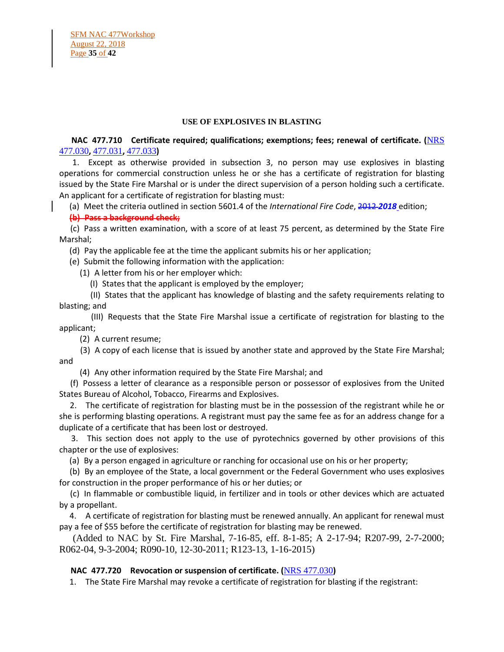#### **USE OF EXPLOSIVES IN BLASTING**

# **NAC 477.710 Certificate required; qualifications; exemptions; fees; renewal of certificate. (**[NRS](https://www.leg.state.nv.us/NRS/NRS-477.html#NRS477Sec030)  [477.030](https://www.leg.state.nv.us/NRS/NRS-477.html#NRS477Sec030)**,** [477.031](https://www.leg.state.nv.us/NRS/NRS-477.html#NRS477Sec031)**,** [477.033](https://www.leg.state.nv.us/NRS/NRS-477.html#NRS477Sec033)**)**

 1. Except as otherwise provided in subsection 3, no person may use explosives in blasting operations for commercial construction unless he or she has a certificate of registration for blasting issued by the State Fire Marshal or is under the direct supervision of a person holding such a certificate. An applicant for a certificate of registration for blasting must:

(a) Meet the criteria outlined in section 5601.4 of the *International Fire Code*, 2012 *2018* edition;

# **(b) Pass a background check;**

 (c) Pass a written examination, with a score of at least 75 percent, as determined by the State Fire Marshal;

(d) Pay the applicable fee at the time the applicant submits his or her application;

(e) Submit the following information with the application:

(1) A letter from his or her employer which:

(I) States that the applicant is employed by the employer;

 (II) States that the applicant has knowledge of blasting and the safety requirements relating to blasting; and

 (III) Requests that the State Fire Marshal issue a certificate of registration for blasting to the applicant;

(2) A current resume;

 (3) A copy of each license that is issued by another state and approved by the State Fire Marshal; and

(4) Any other information required by the State Fire Marshal; and

 (f) Possess a letter of clearance as a responsible person or possessor of explosives from the United States Bureau of Alcohol, Tobacco, Firearms and Explosives.

 2. The certificate of registration for blasting must be in the possession of the registrant while he or she is performing blasting operations. A registrant must pay the same fee as for an address change for a duplicate of a certificate that has been lost or destroyed.

 3. This section does not apply to the use of pyrotechnics governed by other provisions of this chapter or the use of explosives:

(a) By a person engaged in agriculture or ranching for occasional use on his or her property;

 (b) By an employee of the State, a local government or the Federal Government who uses explosives for construction in the proper performance of his or her duties; or

 (c) In flammable or combustible liquid, in fertilizer and in tools or other devices which are actuated by a propellant.

 4. A certificate of registration for blasting must be renewed annually. An applicant for renewal must pay a fee of \$55 before the certificate of registration for blasting may be renewed.

 (Added to NAC by St. Fire Marshal, 7-16-85, eff. 8-1-85; A 2-17-94; R207-99, 2-7-2000; R062-04, 9-3-2004; R090-10, 12-30-2011; R123-13, 1-16-2015)

# **NAC 477.720 Revocation or suspension of certificate. (**[NRS 477.030](https://www.leg.state.nv.us/NRS/NRS-477.html#NRS477Sec030)**)**

1. The State Fire Marshal may revoke a certificate of registration for blasting if the registrant: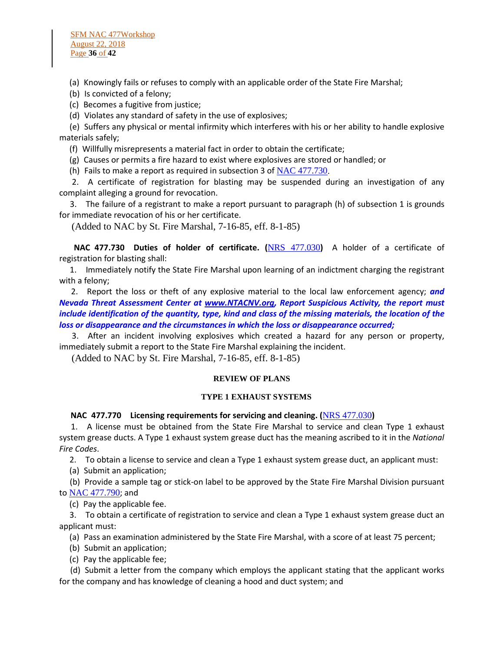(a) Knowingly fails or refuses to comply with an applicable order of the State Fire Marshal;

(b) Is convicted of a felony;

(c) Becomes a fugitive from justice;

(d) Violates any standard of safety in the use of explosives;

 (e) Suffers any physical or mental infirmity which interferes with his or her ability to handle explosive materials safely;

(f) Willfully misrepresents a material fact in order to obtain the certificate;

(g) Causes or permits a fire hazard to exist where explosives are stored or handled; or

(h) Fails to make a report as required in subsection 3 of  $NAC$  477.730.

 2. A certificate of registration for blasting may be suspended during an investigation of any complaint alleging a ground for revocation.

 3. The failure of a registrant to make a report pursuant to paragraph (h) of subsection 1 is grounds for immediate revocation of his or her certificate.

(Added to NAC by St. Fire Marshal, 7-16-85, eff. 8-1-85)

 **NAC 477.730 Duties of holder of certificate. (**[NRS 477.030](https://www.leg.state.nv.us/NRS/NRS-477.html#NRS477Sec030)**)** A holder of a certificate of registration for blasting shall:

 1. Immediately notify the State Fire Marshal upon learning of an indictment charging the registrant with a felony;

 2. Report the loss or theft of any explosive material to the local law enforcement agency; *and Nevada Threat Assessment Center at [www.NTACNV.org,](http://www.ntacnv.org/) Report Suspicious Activity, the report must include identification of the quantity, type, kind and class of the missing materials, the location of the loss or disappearance and the circumstances in which the loss or disappearance occurred;*

 3. After an incident involving explosives which created a hazard for any person or property, immediately submit a report to the State Fire Marshal explaining the incident.

(Added to NAC by St. Fire Marshal, 7-16-85, eff. 8-1-85)

### **REVIEW OF PLANS**

### **TYPE 1 EXHAUST SYSTEMS**

### **NAC 477.770 Licensing requirements for servicing and cleaning. (**[NRS 477.030](https://www.leg.state.nv.us/NRS/NRS-477.html#NRS477Sec030)**)**

 1. A license must be obtained from the State Fire Marshal to service and clean Type 1 exhaust system grease ducts. A Type 1 exhaust system grease duct has the meaning ascribed to it in the *National Fire Codes*.

2. To obtain a license to service and clean a Type 1 exhaust system grease duct, an applicant must:

(a) Submit an application;

 (b) Provide a sample tag or stick-on label to be approved by the State Fire Marshal Division pursuant to [NAC 477.790](https://www.leg.state.nv.us/NAC/NAC-477.html#NAC477Sec790); and

(c) Pay the applicable fee.

 3. To obtain a certificate of registration to service and clean a Type 1 exhaust system grease duct an applicant must:

(a) Pass an examination administered by the State Fire Marshal, with a score of at least 75 percent;

- (b) Submit an application;
- (c) Pay the applicable fee;

 (d) Submit a letter from the company which employs the applicant stating that the applicant works for the company and has knowledge of cleaning a hood and duct system; and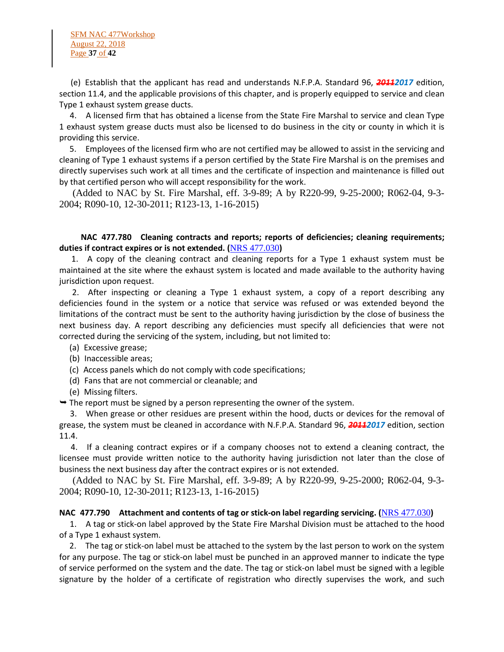SFM NAC 477Workshop August 22, 2018 Page **37** of **42**

 (e) Establish that the applicant has read and understands N.F.P.A. Standard 96, *20112017* edition, section 11.4, and the applicable provisions of this chapter, and is properly equipped to service and clean Type 1 exhaust system grease ducts.

 4. A licensed firm that has obtained a license from the State Fire Marshal to service and clean Type 1 exhaust system grease ducts must also be licensed to do business in the city or county in which it is providing this service.

 5. Employees of the licensed firm who are not certified may be allowed to assist in the servicing and cleaning of Type 1 exhaust systems if a person certified by the State Fire Marshal is on the premises and directly supervises such work at all times and the certificate of inspection and maintenance is filled out by that certified person who will accept responsibility for the work.

 (Added to NAC by St. Fire Marshal, eff. 3-9-89; A by R220-99, 9-25-2000; R062-04, 9-3- 2004; R090-10, 12-30-2011; R123-13, 1-16-2015)

# **NAC 477.780 Cleaning contracts and reports; reports of deficiencies; cleaning requirements; duties if contract expires or is not extended. (**[NRS 477.030](https://www.leg.state.nv.us/NRS/NRS-477.html#NRS477Sec030)**)**

 1. A copy of the cleaning contract and cleaning reports for a Type 1 exhaust system must be maintained at the site where the exhaust system is located and made available to the authority having jurisdiction upon request.

 2. After inspecting or cleaning a Type 1 exhaust system, a copy of a report describing any deficiencies found in the system or a notice that service was refused or was extended beyond the limitations of the contract must be sent to the authority having jurisdiction by the close of business the next business day. A report describing any deficiencies must specify all deficiencies that were not corrected during the servicing of the system, including, but not limited to:

- (a) Excessive grease;
- (b) Inaccessible areas;
- (c) Access panels which do not comply with code specifications;
- (d) Fans that are not commercial or cleanable; and
- (e) Missing filters.

 $\rightarrow$  The report must be signed by a person representing the owner of the system.

 3. When grease or other residues are present within the hood, ducts or devices for the removal of grease, the system must be cleaned in accordance with N.F.P.A. Standard 96, *20112017* edition, section 11.4.

 4. If a cleaning contract expires or if a company chooses not to extend a cleaning contract, the licensee must provide written notice to the authority having jurisdiction not later than the close of business the next business day after the contract expires or is not extended.

 (Added to NAC by St. Fire Marshal, eff. 3-9-89; A by R220-99, 9-25-2000; R062-04, 9-3- 2004; R090-10, 12-30-2011; R123-13, 1-16-2015)

### **NAC 477.790 Attachment and contents of tag or stick-on label regarding servicing. (**[NRS 477.030](https://www.leg.state.nv.us/NRS/NRS-477.html#NRS477Sec030)**)**

 1. A tag or stick-on label approved by the State Fire Marshal Division must be attached to the hood of a Type 1 exhaust system.

 2. The tag or stick-on label must be attached to the system by the last person to work on the system for any purpose. The tag or stick-on label must be punched in an approved manner to indicate the type of service performed on the system and the date. The tag or stick-on label must be signed with a legible signature by the holder of a certificate of registration who directly supervises the work, and such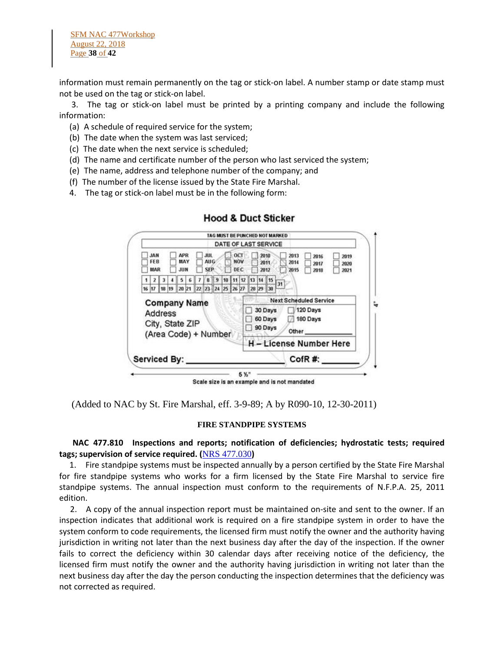information must remain permanently on the tag or stick-on label. A number stamp or date stamp must not be used on the tag or stick-on label.

 3. The tag or stick-on label must be printed by a printing company and include the following information:

- (a) A schedule of required service for the system;
- (b) The date when the system was last serviced;
- (c) The date when the next service is scheduled;
- (d) The name and certificate number of the person who last serviced the system;
- (e) The name, address and telephone number of the company; and
- (f) The number of the license issued by the State Fire Marshal.
- 4. The tag or stick-on label must be in the following form:

|                                                    |                     |                                 |                                                                    | TAG MUST BE PUNCHED NOT MARKED<br>DATE OF LAST SERVICE                                       |
|----------------------------------------------------|---------------------|---------------------------------|--------------------------------------------------------------------|----------------------------------------------------------------------------------------------|
|                                                    |                     |                                 |                                                                    |                                                                                              |
| <b>JAN</b><br>FE <sub>B</sub><br><b>MAR</b>        |                     | <b>APR</b><br>MAY<br><b>JUN</b> | OCT<br><b>JUL</b><br><b>AUG</b><br><b>NOV</b><br><b>SEP</b><br>DEC | 2818<br>2013<br>2016<br>2019<br>2014<br>2011<br>2017<br>2020<br>2012<br>2015<br>2018<br>2021 |
|                                                    |                     |                                 | 112<br>11                                                          | 14 15<br>13                                                                                  |
| 16 17                                              | 18 19               | 20 21 22                        | 23 24 25 26 27                                                     | 31<br>28 29 30                                                                               |
| Address<br>City, State ZIP<br>(Area Code) + Number |                     |                                 |                                                                    | 120 Days<br>30 Days<br>180 Days<br>60 Days<br>90 Days<br>Other                               |
|                                                    |                     |                                 |                                                                    | <b>H-License Number Here</b>                                                                 |
|                                                    | <b>Serviced By:</b> |                                 |                                                                    | CofR#:                                                                                       |

**Hood & Duct Sticker** 

(Added to NAC by St. Fire Marshal, eff. 3-9-89; A by R090-10, 12-30-2011)

#### **FIRE STANDPIPE SYSTEMS**

# **NAC 477.810 Inspections and reports; notification of deficiencies; hydrostatic tests; required tags; supervision of service required. (**[NRS 477.030](https://www.leg.state.nv.us/NRS/NRS-477.html#NRS477Sec030)**)**

 1. Fire standpipe systems must be inspected annually by a person certified by the State Fire Marshal for fire standpipe systems who works for a firm licensed by the State Fire Marshal to service fire standpipe systems. The annual inspection must conform to the requirements of N.F.P.A. 25, 2011 edition.

 2. A copy of the annual inspection report must be maintained on-site and sent to the owner. If an inspection indicates that additional work is required on a fire standpipe system in order to have the system conform to code requirements, the licensed firm must notify the owner and the authority having jurisdiction in writing not later than the next business day after the day of the inspection. If the owner fails to correct the deficiency within 30 calendar days after receiving notice of the deficiency, the licensed firm must notify the owner and the authority having jurisdiction in writing not later than the next business day after the day the person conducting the inspection determines that the deficiency was not corrected as required.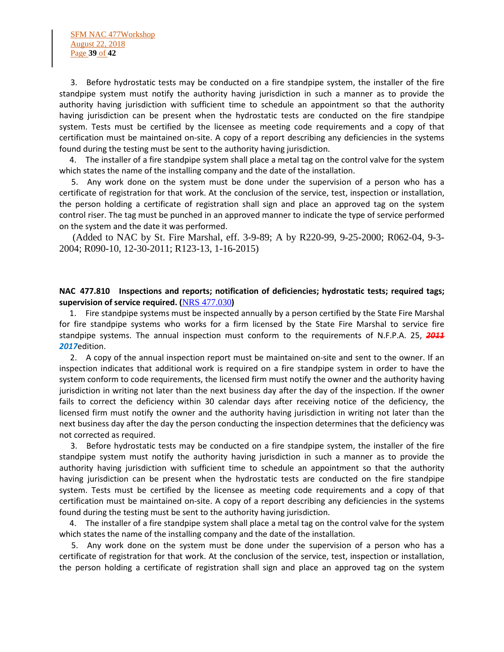3. Before hydrostatic tests may be conducted on a fire standpipe system, the installer of the fire standpipe system must notify the authority having jurisdiction in such a manner as to provide the authority having jurisdiction with sufficient time to schedule an appointment so that the authority having jurisdiction can be present when the hydrostatic tests are conducted on the fire standpipe system. Tests must be certified by the licensee as meeting code requirements and a copy of that certification must be maintained on-site. A copy of a report describing any deficiencies in the systems found during the testing must be sent to the authority having jurisdiction.

 4. The installer of a fire standpipe system shall place a metal tag on the control valve for the system which states the name of the installing company and the date of the installation.

 5. Any work done on the system must be done under the supervision of a person who has a certificate of registration for that work. At the conclusion of the service, test, inspection or installation, the person holding a certificate of registration shall sign and place an approved tag on the system control riser. The tag must be punched in an approved manner to indicate the type of service performed on the system and the date it was performed.

 (Added to NAC by St. Fire Marshal, eff. 3-9-89; A by R220-99, 9-25-2000; R062-04, 9-3- 2004; R090-10, 12-30-2011; R123-13, 1-16-2015)

# **NAC 477.810 Inspections and reports; notification of deficiencies; hydrostatic tests; required tags; supervision of service required. (**[NRS 477.030](https://www.leg.state.nv.us/NRS/NRS-477.html#NRS477Sec030)**)**

 1. Fire standpipe systems must be inspected annually by a person certified by the State Fire Marshal for fire standpipe systems who works for a firm licensed by the State Fire Marshal to service fire standpipe systems. The annual inspection must conform to the requirements of N.F.P.A. 25, *2011 2017*edition.

 2. A copy of the annual inspection report must be maintained on-site and sent to the owner. If an inspection indicates that additional work is required on a fire standpipe system in order to have the system conform to code requirements, the licensed firm must notify the owner and the authority having jurisdiction in writing not later than the next business day after the day of the inspection. If the owner fails to correct the deficiency within 30 calendar days after receiving notice of the deficiency, the licensed firm must notify the owner and the authority having jurisdiction in writing not later than the next business day after the day the person conducting the inspection determines that the deficiency was not corrected as required.

 3. Before hydrostatic tests may be conducted on a fire standpipe system, the installer of the fire standpipe system must notify the authority having jurisdiction in such a manner as to provide the authority having jurisdiction with sufficient time to schedule an appointment so that the authority having jurisdiction can be present when the hydrostatic tests are conducted on the fire standpipe system. Tests must be certified by the licensee as meeting code requirements and a copy of that certification must be maintained on-site. A copy of a report describing any deficiencies in the systems found during the testing must be sent to the authority having jurisdiction.

 4. The installer of a fire standpipe system shall place a metal tag on the control valve for the system which states the name of the installing company and the date of the installation.

 5. Any work done on the system must be done under the supervision of a person who has a certificate of registration for that work. At the conclusion of the service, test, inspection or installation, the person holding a certificate of registration shall sign and place an approved tag on the system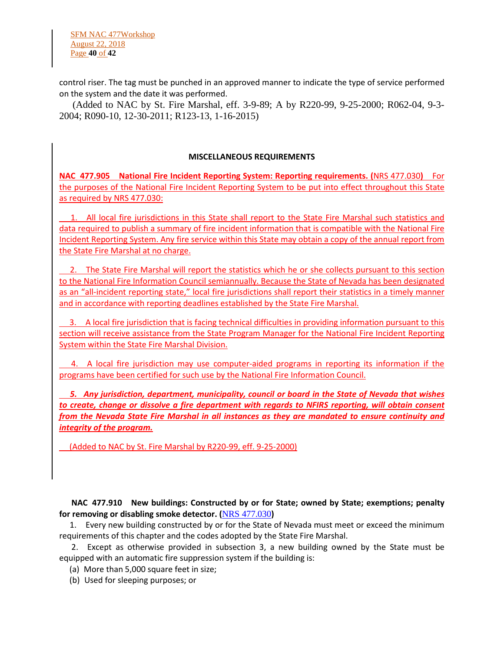control riser. The tag must be punched in an approved manner to indicate the type of service performed on the system and the date it was performed.

 (Added to NAC by St. Fire Marshal, eff. 3-9-89; A by R220-99, 9-25-2000; R062-04, 9-3- 2004; R090-10, 12-30-2011; R123-13, 1-16-2015)

### **MISCELLANEOUS REQUIREMENTS**

**NAC 477.905 National Fire Incident Reporting System: Reporting requirements. (**[NRS 477.030](https://www.leg.state.nv.us/NRS/NRS-477.html#NRS477Sec030)**)** For the purposes of the National Fire Incident Reporting System to be put into effect throughout this State as required by [NRS 477.030:](https://www.leg.state.nv.us/NRS/NRS-477.html#NRS477Sec030)

 1. All local fire jurisdictions in this State shall report to the State Fire Marshal such statistics and data required to publish a summary of fire incident information that is compatible with the National Fire Incident Reporting System. Any fire service within this State may obtain a copy of the annual report from the State Fire Marshal at no charge.

2. The State Fire Marshal will report the statistics which he or she collects pursuant to this section to the National Fire Information Council semiannually. Because the State of Nevada has been designated as an "all-incident reporting state," local fire jurisdictions shall report their statistics in a timely manner and in accordance with reporting deadlines established by the State Fire Marshal.

 3. A local fire jurisdiction that is facing technical difficulties in providing information pursuant to this section will receive assistance from the State Program Manager for the National Fire Incident Reporting System within the State Fire Marshal Division.

 4. A local fire jurisdiction may use computer-aided programs in reporting its information if the programs have been certified for such use by the National Fire Information Council.

 *5. Any jurisdiction, department, municipality, council or board in the State of Nevada that wishes to create, change or dissolve a fire department with regards to NFIRS reporting, will obtain consent from the Nevada State Fire Marshal in all instances as they are mandated to ensure continuity and integrity of the program.*

(Added to NAC by St. Fire Marshal by R220-99, eff. 9-25-2000)

 **NAC 477.910 New buildings: Constructed by or for State; owned by State; exemptions; penalty for removing or disabling smoke detector. (**[NRS 477.030](https://www.leg.state.nv.us/NRS/NRS-477.html#NRS477Sec030)**)**

 1. Every new building constructed by or for the State of Nevada must meet or exceed the minimum requirements of this chapter and the codes adopted by the State Fire Marshal.

 2. Except as otherwise provided in subsection 3, a new building owned by the State must be equipped with an automatic fire suppression system if the building is:

(a) More than 5,000 square feet in size;

(b) Used for sleeping purposes; or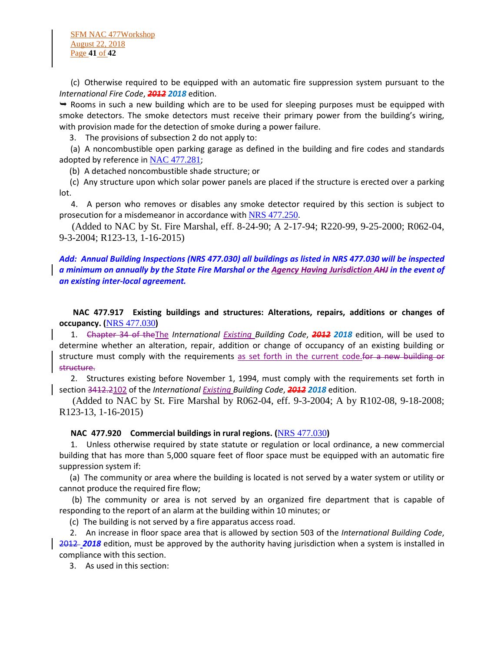SFM NAC 477Workshop August 22, 2018 Page **41** of **42**

 (c) Otherwise required to be equipped with an automatic fire suppression system pursuant to the *International Fire Code*, *2012 2018* edition.

 Rooms in such a new building which are to be used for sleeping purposes must be equipped with smoke detectors. The smoke detectors must receive their primary power from the building's wiring, with provision made for the detection of smoke during a power failure.

3. The provisions of subsection 2 do not apply to:

 (a) A noncombustible open parking garage as defined in the building and fire codes and standards adopted by reference in [NAC 477.281](https://www.leg.state.nv.us/NAC/NAC-477.html#NAC477Sec281);

(b) A detached noncombustible shade structure; or

 (c) Any structure upon which solar power panels are placed if the structure is erected over a parking lot.

 4. A person who removes or disables any smoke detector required by this section is subject to prosecution for a misdemeanor in accordance with [NRS 477.250](https://www.leg.state.nv.us/NRS/NRS-477.html#NRS477Sec250).

 (Added to NAC by St. Fire Marshal, eff. 8-24-90; A 2-17-94; R220-99, 9-25-2000; R062-04, 9-3-2004; R123-13, 1-16-2015)

# *Add: Annual Building Inspections (NRS 477.030) all buildings as listed in NRS 477.030 will be inspected a minimum on annually by the State Fire Marshal or the Agency Having Jurisdiction AHJ in the event of an existing inter-local agreement.*

 **NAC 477.917 Existing buildings and structures: Alterations, repairs, additions or changes of occupancy. (**[NRS 477.030](https://www.leg.state.nv.us/NRS/NRS-477.html#NRS477Sec030)**)**

 1. Chapter 34 of theThe *International Existing Building Code*, *2012 2018* edition, will be used to determine whether an alteration, repair, addition or change of occupancy of an existing building or structure must comply with the requirements as set forth in the current code for a new building or structure.

 2. Structures existing before November 1, 1994, must comply with the requirements set forth in section 3412.2102 of the *International Existing Building Code*, *2012 2018* edition.

 (Added to NAC by St. Fire Marshal by R062-04, eff. 9-3-2004; A by R102-08, 9-18-2008; R123-13, 1-16-2015)

**NAC 477.920 Commercial buildings in rural regions. (**[NRS 477.030](https://www.leg.state.nv.us/NRS/NRS-477.html#NRS477Sec030)**)**

 1. Unless otherwise required by state statute or regulation or local ordinance, a new commercial building that has more than 5,000 square feet of floor space must be equipped with an automatic fire suppression system if:

 (a) The community or area where the building is located is not served by a water system or utility or cannot produce the required fire flow;

 (b) The community or area is not served by an organized fire department that is capable of responding to the report of an alarm at the building within 10 minutes; or

(c) The building is not served by a fire apparatus access road.

 2. An increase in floor space area that is allowed by section 503 of the *International Building Code*, 2012 *2018* edition, must be approved by the authority having jurisdiction when a system is installed in compliance with this section.

3. As used in this section: